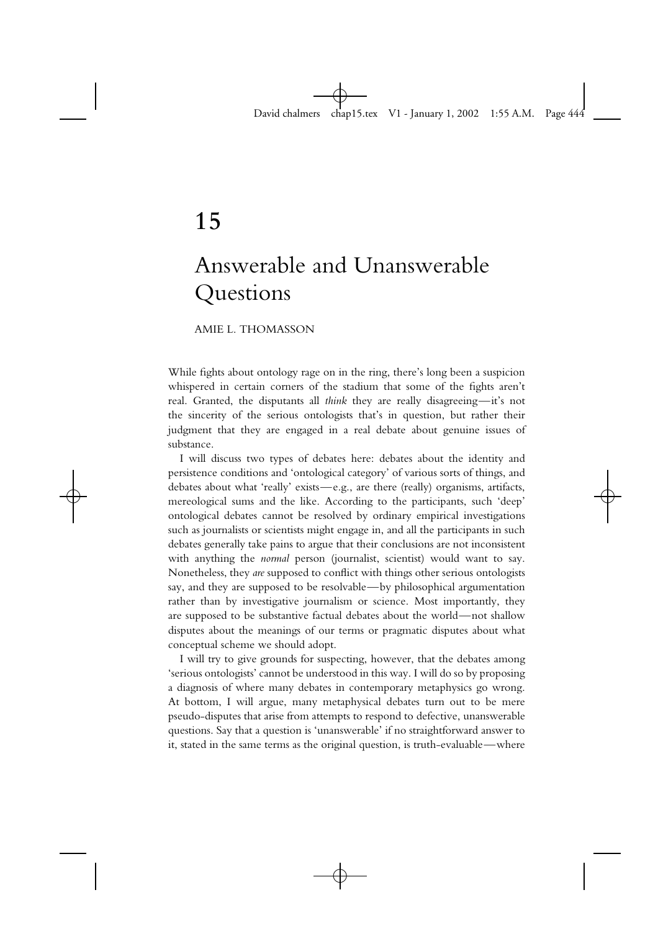# **15**

 $\bigoplus$ 

# Answerable and Unanswerable Questions

AMIE L. THOMASSON

While fights about ontology rage on in the ring, there's long been a suspicion whispered in certain corners of the stadium that some of the fights aren't real. Granted, the disputants all *think* they are really disagreeing—it's not the sincerity of the serious ontologists that's in question, but rather their judgment that they are engaged in a real debate about genuine issues of substance.

I will discuss two types of debates here: debates about the identity and persistence conditions and 'ontological category' of various sorts of things, and debates about what 'really' exists—e.g., are there (really) organisms, artifacts, mereological sums and the like. According to the participants, such 'deep' ontological debates cannot be resolved by ordinary empirical investigations such as journalists or scientists might engage in, and all the participants in such debates generally take pains to argue that their conclusions are not inconsistent with anything the *normal* person (journalist, scientist) would want to say. Nonetheless, they *are* supposed to conflict with things other serious ontologists say, and they are supposed to be resolvable—by philosophical argumentation rather than by investigative journalism or science. Most importantly, they are supposed to be substantive factual debates about the world—not shallow disputes about the meanings of our terms or pragmatic disputes about what conceptual scheme we should adopt.

I will try to give grounds for suspecting, however, that the debates among 'serious ontologists' cannot be understood in this way. I will do so by proposing a diagnosis of where many debates in contemporary metaphysics go wrong. At bottom, I will argue, many metaphysical debates turn out to be mere pseudo-disputes that arise from attempts to respond to defective, unanswerable questions. Say that a question is 'unanswerable' if no straightforward answer to it, stated in the same terms as the original question, is truth-evaluable—where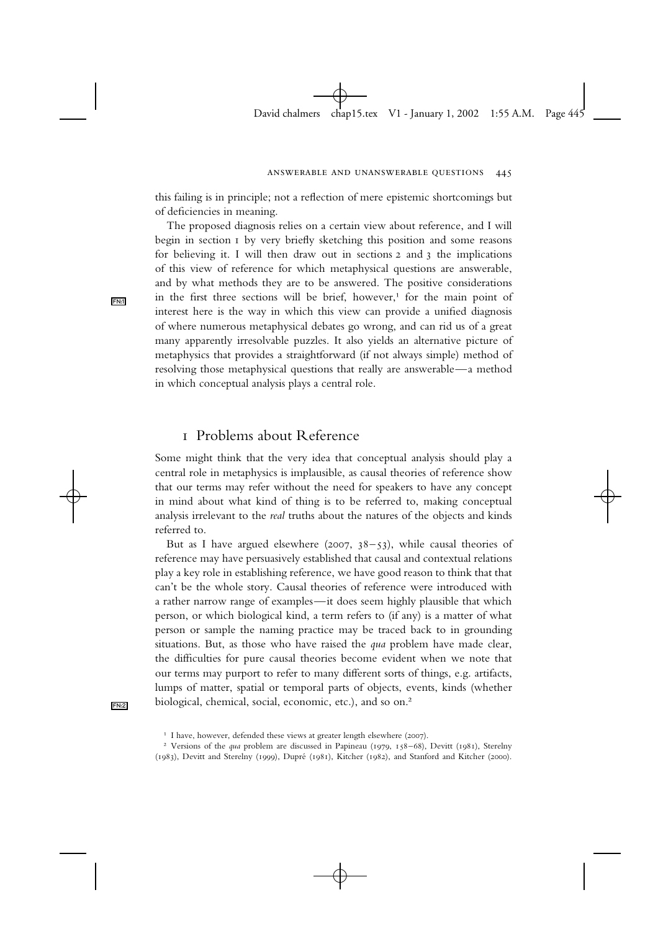$\oplus$ 

#### answerable and unanswerable questions 445

this failing is in principle; not a reflection of mere epistemic shortcomings but of deficiencies in meaning.

 $\bigoplus$ 

The proposed diagnosis relies on a certain view about reference, and I will begin in section 1 by very briefly sketching this position and some reasons for believing it. I will then draw out in sections 2 and 3 the implications of this view of reference for which metaphysical questions are answerable, and by what methods they are to be answered. The positive considerations  $FF<sub>N:1</sub>$ </del> in the first three sections will be brief, however,<sup>1</sup> for the main point of interest here is the way in which this view can provide a unified diagnosis of where numerous metaphysical debates go wrong, and can rid us of a great many apparently irresolvable puzzles. It also yields an alternative picture of metaphysics that provides a straightforward (if not always simple) method of resolving those metaphysical questions that really are answerable—a method in which conceptual analysis plays a central role.

## 1 Problems about Reference

Some might think that the very idea that conceptual analysis should play a central role in metaphysics is implausible, as causal theories of reference show that our terms may refer without the need for speakers to have any concept in mind about what kind of thing is to be referred to, making conceptual analysis irrelevant to the *real* truths about the natures of the objects and kinds referred to.

But as I have argued elsewhere  $(2007, 38-53)$ , while causal theories of reference may have persuasively established that causal and contextual relations play a key role in establishing reference, we have good reason to think that that can't be the whole story. Causal theories of reference were introduced with a rather narrow range of examples—it does seem highly plausible that which person, or which biological kind, a term refers to (if any) is a matter of what person or sample the naming practice may be traced back to in grounding situations. But, as those who have raised the *qua* problem have made clear, the difficulties for pure causal theories become evident when we note that our terms may purport to refer to many different sorts of things, e.g. artifacts, lumps of matter, spatial or temporal parts of objects, events, kinds (whether biological, chemical, social, economic, etc.), and so on.² **FN:2**

 $\bigoplus$ 

<sup>&</sup>lt;sup>1</sup> I have, however, defended these views at greater length elsewhere (2007).

<sup>&</sup>lt;sup>2</sup> Versions of the *qua* problem are discussed in Papineau (1979, 158-68), Devitt (1981), Sterelny (1983), Devitt and Sterelny (1999), Dupré (1981), Kitcher (1982), and Stanford and Kitcher (2000).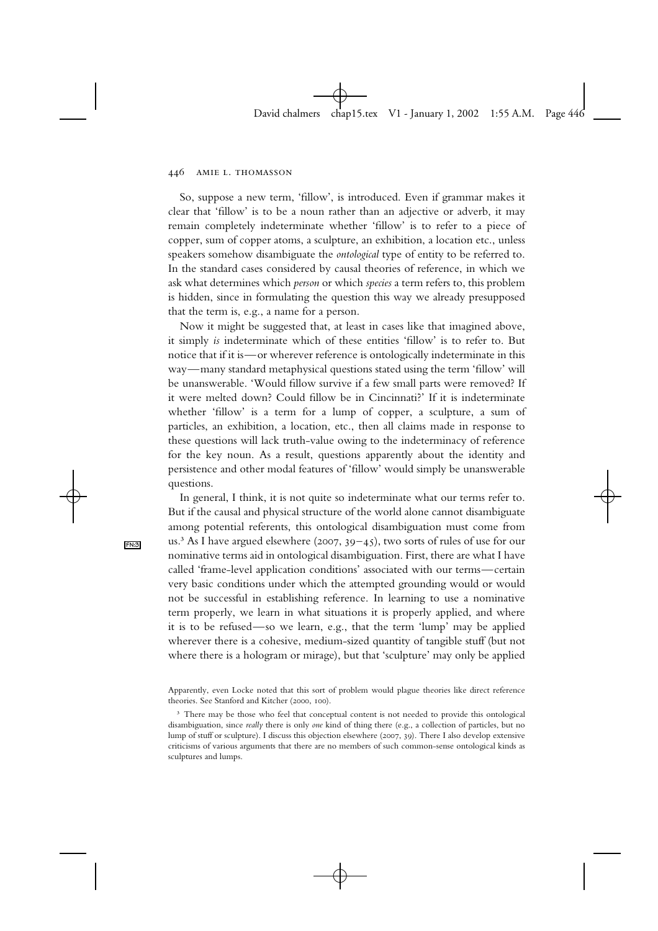$\oplus$ 

#### 446 amie l. thomasson

So, suppose a new term, 'fillow', is introduced. Even if grammar makes it clear that 'fillow' is to be a noun rather than an adjective or adverb, it may remain completely indeterminate whether 'fillow' is to refer to a piece of copper, sum of copper atoms, a sculpture, an exhibition, a location etc., unless speakers somehow disambiguate the *ontological* type of entity to be referred to. In the standard cases considered by causal theories of reference, in which we ask what determines which *person* or which *species* a term refers to, this problem is hidden, since in formulating the question this way we already presupposed that the term is, e.g., a name for a person.

 $\bigoplus$ 

Now it might be suggested that, at least in cases like that imagined above, it simply *is* indeterminate which of these entities 'fillow' is to refer to. But notice that if it is—or wherever reference is ontologically indeterminate in this way—many standard metaphysical questions stated using the term 'fillow' will be unanswerable. 'Would fillow survive if a few small parts were removed? If it were melted down? Could fillow be in Cincinnati?' If it is indeterminate whether 'fillow' is a term for a lump of copper, a sculpture, a sum of particles, an exhibition, a location, etc., then all claims made in response to these questions will lack truth-value owing to the indeterminacy of reference for the key noun. As a result, questions apparently about the identity and persistence and other modal features of 'fillow' would simply be unanswerable questions.

In general, I think, it is not quite so indeterminate what our terms refer to. But if the causal and physical structure of the world alone cannot disambiguate among potential referents, this ontological disambiguation must come from **us.**<sup>3</sup> As I have argued elsewhere (2007, 39–45), two sorts of rules of use for our nominative terms aid in ontological disambiguation. First, there are what I have called 'frame-level application conditions' associated with our terms—certain very basic conditions under which the attempted grounding would or would not be successful in establishing reference. In learning to use a nominative term properly, we learn in what situations it is properly applied, and where it is to be refused— so we learn, e.g., that the term 'lump' may be applied wherever there is a cohesive, medium-sized quantity of tangible stuff (but not where there is a hologram or mirage), but that 'sculpture' may only be applied

> Apparently, even Locke noted that this sort of problem would plague theories like direct reference theories. See Stanford and Kitcher (2000, 100).

 $\bigoplus$ 

There may be those who feel that conceptual content is not needed to provide this ontological disambiguation, since *really* there is only *one* kind of thing there (e.g., a collection of particles, but no lump of stuff or sculpture). I discuss this objection elsewhere (2007, 39). There I also develop extensive criticisms of various arguments that there are no members of such common-sense ontological kinds as sculptures and lumps.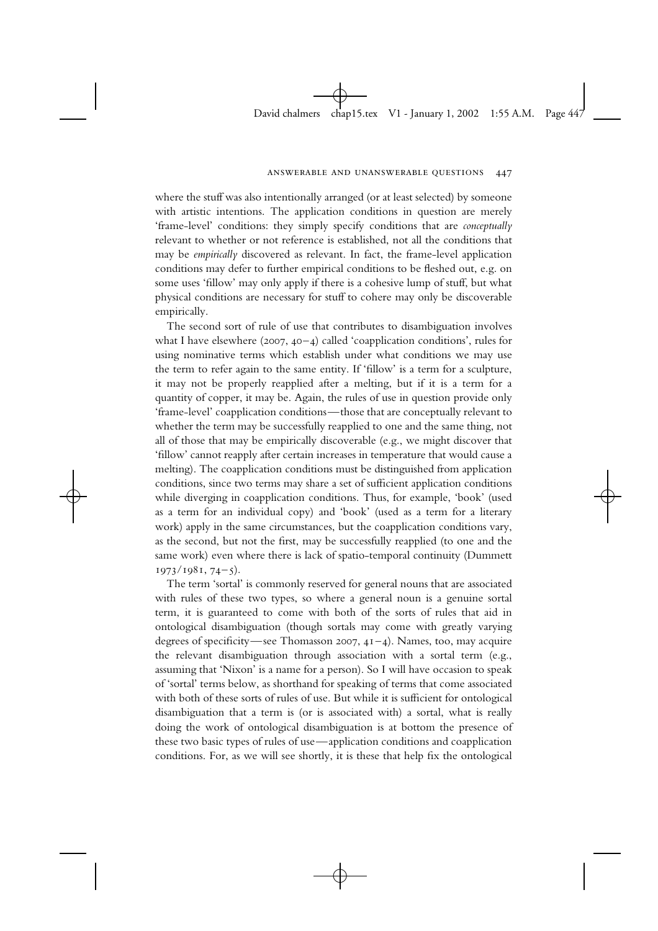$\oplus$ 

#### answerable and unanswerable questions 447

where the stuff was also intentionally arranged (or at least selected) by someone with artistic intentions. The application conditions in question are merely 'frame-level' conditions: they simply specify conditions that are *conceptually* relevant to whether or not reference is established, not all the conditions that may be *empirically* discovered as relevant. In fact, the frame-level application conditions may defer to further empirical conditions to be fleshed out, e.g. on some uses 'fillow' may only apply if there is a cohesive lump of stuff, but what physical conditions are necessary for stuff to cohere may only be discoverable empirically.

 $\bigoplus$ 

The second sort of rule of use that contributes to disambiguation involves what I have elsewhere (2007, 40–4) called 'coapplication conditions', rules for using nominative terms which establish under what conditions we may use the term to refer again to the same entity. If 'fillow' is a term for a sculpture, it may not be properly reapplied after a melting, but if it is a term for a quantity of copper, it may be. Again, the rules of use in question provide only 'frame-level' coapplication conditions—those that are conceptually relevant to whether the term may be successfully reapplied to one and the same thing, not all of those that may be empirically discoverable (e.g., we might discover that 'fillow' cannot reapply after certain increases in temperature that would cause a melting). The coapplication conditions must be distinguished from application conditions, since two terms may share a set of sufficient application conditions while diverging in coapplication conditions. Thus, for example, 'book' (used as a term for an individual copy) and 'book' (used as a term for a literary work) apply in the same circumstances, but the coapplication conditions vary, as the second, but not the first, may be successfully reapplied (to one and the same work) even where there is lack of spatio-temporal continuity (Dummett  $1973/1981, 74-5$ ).

 $\bigoplus$ 

The term 'sortal' is commonly reserved for general nouns that are associated with rules of these two types, so where a general noun is a genuine sortal term, it is guaranteed to come with both of the sorts of rules that aid in ontological disambiguation (though sortals may come with greatly varying degrees of specificity— see Thomasson 2007, 41–4). Names, too, may acquire the relevant disambiguation through association with a sortal term (e.g., assuming that 'Nixon' is a name for a person). So I will have occasion to speak of 'sortal' terms below, as shorthand for speaking of terms that come associated with both of these sorts of rules of use. But while it is sufficient for ontological disambiguation that a term is (or is associated with) a sortal, what is really doing the work of ontological disambiguation is at bottom the presence of these two basic types of rules of use—application conditions and coapplication conditions. For, as we will see shortly, it is these that help fix the ontological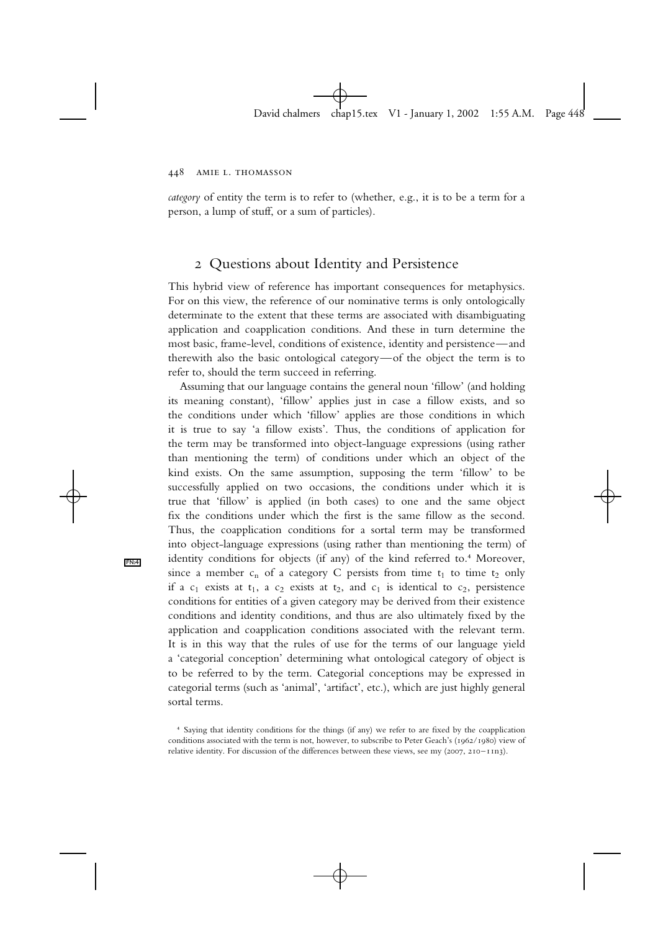$\oplus$ 

#### 448 amie l. thomasson

*category* of entity the term is to refer to (whether, e.g., it is to be a term for a person, a lump of stuff, or a sum of particles).

 $\bigoplus$ 

### 2 Questions about Identity and Persistence

This hybrid view of reference has important consequences for metaphysics. For on this view, the reference of our nominative terms is only ontologically determinate to the extent that these terms are associated with disambiguating application and coapplication conditions. And these in turn determine the most basic, frame-level, conditions of existence, identity and persistence—and therewith also the basic ontological category—of the object the term is to refer to, should the term succeed in referring.

Assuming that our language contains the general noun 'fillow' (and holding its meaning constant), 'fillow' applies just in case a fillow exists, and so the conditions under which 'fillow' applies are those conditions in which it is true to say 'a fillow exists'. Thus, the conditions of application for the term may be transformed into object-language expressions (using rather than mentioning the term) of conditions under which an object of the kind exists. On the same assumption, supposing the term 'fillow' to be successfully applied on two occasions, the conditions under which it is true that 'fillow' is applied (in both cases) to one and the same object fix the conditions under which the first is the same fillow as the second. Thus, the coapplication conditions for a sortal term may be transformed into object-language expressions (using rather than mentioning the term) of **FRI:4** identity conditions for objects (if any) of the kind referred to.<sup>4</sup> Moreover, since a member  $c_n$  of a category C persists from time  $t_1$  to time  $t_2$  only if a  $c_1$  exists at  $t_1$ , a  $c_2$  exists at  $t_2$ , and  $c_1$  is identical to  $c_2$ , persistence conditions for entities of a given category may be derived from their existence conditions and identity conditions, and thus are also ultimately fixed by the application and coapplication conditions associated with the relevant term. It is in this way that the rules of use for the terms of our language yield a 'categorial conception' determining what ontological category of object is to be referred to by the term. Categorial conceptions may be expressed in categorial terms (such as 'animal', 'artifact', etc.), which are just highly general sortal terms.

 $\bigoplus$ 

⁴ Saying that identity conditions for the things (if any) we refer to are fixed by the coapplication conditions associated with the term is not, however, to subscribe to Peter Geach's (1962/1980) view of relative identity. For discussion of the differences between these views, see my (2007, 210–11n3).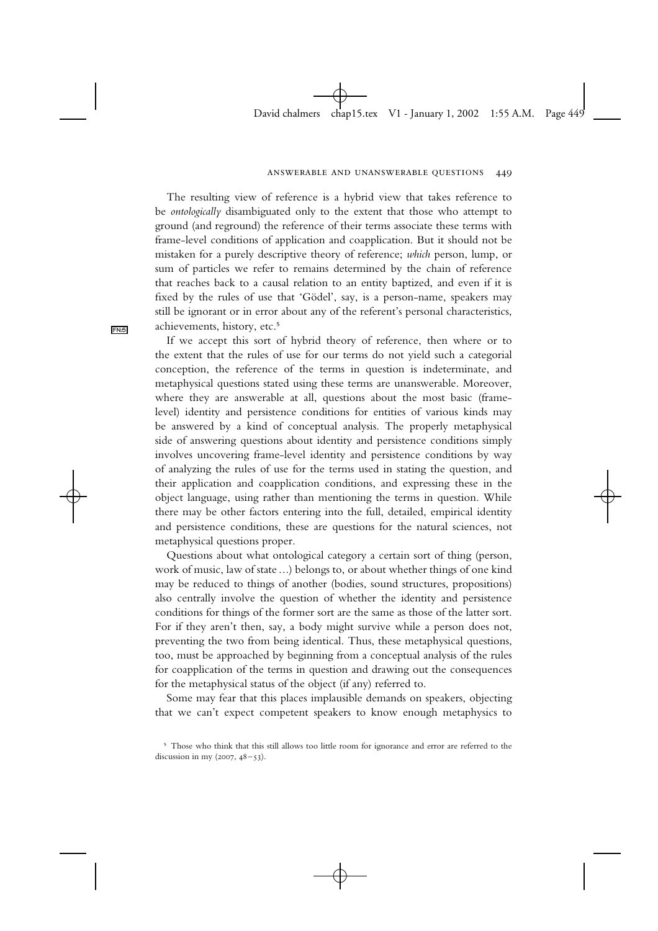#### answerable and unanswerable questions 449

The resulting view of reference is a hybrid view that takes reference to be *ontologically* disambiguated only to the extent that those who attempt to ground (and reground) the reference of their terms associate these terms with frame-level conditions of application and coapplication. But it should not be mistaken for a purely descriptive theory of reference; *which* person, lump, or sum of particles we refer to remains determined by the chain of reference that reaches back to a causal relation to an entity baptized, and even if it is fixed by the rules of use that 'Gödel', say, is a person-name, speakers may still be ignorant or in error about any of the referent's personal characteristics, **FN:5** achievements, history, etc.<sup>5</sup>

 $\bigoplus$ 

If we accept this sort of hybrid theory of reference, then where or to the extent that the rules of use for our terms do not yield such a categorial conception, the reference of the terms in question is indeterminate, and metaphysical questions stated using these terms are unanswerable. Moreover, where they are answerable at all, questions about the most basic (framelevel) identity and persistence conditions for entities of various kinds may be answered by a kind of conceptual analysis. The properly metaphysical side of answering questions about identity and persistence conditions simply involves uncovering frame-level identity and persistence conditions by way of analyzing the rules of use for the terms used in stating the question, and their application and coapplication conditions, and expressing these in the object language, using rather than mentioning the terms in question. While there may be other factors entering into the full, detailed, empirical identity and persistence conditions, these are questions for the natural sciences, not metaphysical questions proper.

Questions about what ontological category a certain sort of thing (person, work of music, law of state ...) belongs to, or about whether things of one kind may be reduced to things of another (bodies, sound structures, propositions) also centrally involve the question of whether the identity and persistence conditions for things of the former sort are the same as those of the latter sort. For if they aren't then, say, a body might survive while a person does not, preventing the two from being identical. Thus, these metaphysical questions, too, must be approached by beginning from a conceptual analysis of the rules for coapplication of the terms in question and drawing out the consequences for the metaphysical status of the object (if any) referred to.

Some may fear that this places implausible demands on speakers, objecting that we can't expect competent speakers to know enough metaphysics to

 $\bigoplus$ 

<sup>&</sup>lt;sup>5</sup> Those who think that this still allows too little room for ignorance and error are referred to the discussion in my (2007, 48–53).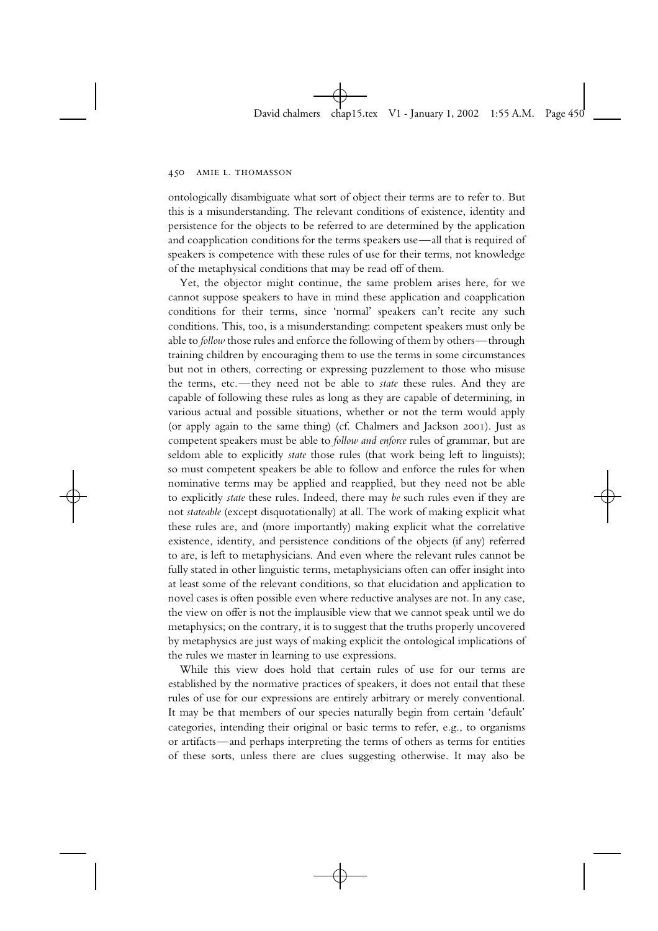#### 450 amie l. thomasson

 $\bigoplus$ 

ontologically disambiguate what sort of object their terms are to refer to. But this is a misunderstanding. The relevant conditions of existence, identity and persistence for the objects to be referred to are determined by the application and coapplication conditions for the terms speakers use—all that is required of speakers is competence with these rules of use for their terms, not knowledge of the metaphysical conditions that may be read off of them.

 $\bigoplus$ 

Yet, the objector might continue, the same problem arises here, for we cannot suppose speakers to have in mind these application and coapplication conditions for their terms, since 'normal' speakers can't recite any such conditions. This, too, is a misunderstanding: competent speakers must only be able to *follow* those rules and enforce the following of them by others—through training children by encouraging them to use the terms in some circumstances but not in others, correcting or expressing puzzlement to those who misuse the terms, etc.—they need not be able to *state* these rules. And they are capable of following these rules as long as they are capable of determining, in various actual and possible situations, whether or not the term would apply (or apply again to the same thing) (cf. Chalmers and Jackson 2001). Just as competent speakers must be able to *follow and enforce* rules of grammar, but are seldom able to explicitly *state* those rules (that work being left to linguists); so must competent speakers be able to follow and enforce the rules for when nominative terms may be applied and reapplied, but they need not be able to explicitly *state* these rules. Indeed, there may *be* such rules even if they are not *stateable* (except disquotationally) at all. The work of making explicit what these rules are, and (more importantly) making explicit what the correlative existence, identity, and persistence conditions of the objects (if any) referred to are, is left to metaphysicians. And even where the relevant rules cannot be fully stated in other linguistic terms, metaphysicians often can offer insight into at least some of the relevant conditions, so that elucidation and application to novel cases is often possible even where reductive analyses are not. In any case, the view on offer is not the implausible view that we cannot speak until we do metaphysics; on the contrary, it is to suggest that the truths properly uncovered by metaphysics are just ways of making explicit the ontological implications of the rules we master in learning to use expressions.

 $\oplus$ 

While this view does hold that certain rules of use for our terms are established by the normative practices of speakers, it does not entail that these rules of use for our expressions are entirely arbitrary or merely conventional. It may be that members of our species naturally begin from certain 'default' categories, intending their original or basic terms to refer, e.g., to organisms or artifacts—and perhaps interpreting the terms of others as terms for entities of these sorts, unless there are clues suggesting otherwise. It may also be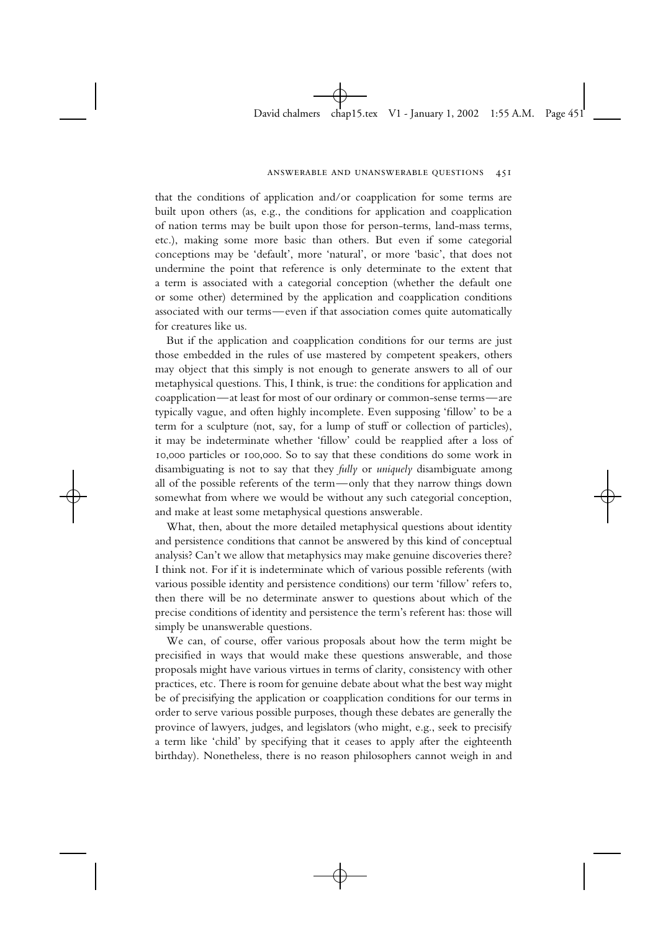$\oplus$ 

#### answerable and unanswerable questions 451

that the conditions of application and/or coapplication for some terms are built upon others (as, e.g., the conditions for application and coapplication of nation terms may be built upon those for person-terms, land-mass terms, etc.), making some more basic than others. But even if some categorial conceptions may be 'default', more 'natural', or more 'basic', that does not undermine the point that reference is only determinate to the extent that a term is associated with a categorial conception (whether the default one or some other) determined by the application and coapplication conditions associated with our terms—even if that association comes quite automatically for creatures like us.

But if the application and coapplication conditions for our terms are just those embedded in the rules of use mastered by competent speakers, others may object that this simply is not enough to generate answers to all of our metaphysical questions. This, I think, is true: the conditions for application and coapplication—at least for most of our ordinary or common-sense terms—are typically vague, and often highly incomplete. Even supposing 'fillow' to be a term for a sculpture (not, say, for a lump of stuff or collection of particles), it may be indeterminate whether 'fillow' could be reapplied after a loss of 10,000 particles or 100,000. So to say that these conditions do some work in disambiguating is not to say that they *fully* or *uniquely* disambiguate among all of the possible referents of the term—only that they narrow things down somewhat from where we would be without any such categorial conception, and make at least some metaphysical questions answerable.

 $\bigoplus$ 

What, then, about the more detailed metaphysical questions about identity and persistence conditions that cannot be answered by this kind of conceptual analysis? Can't we allow that metaphysics may make genuine discoveries there? I think not. For if it is indeterminate which of various possible referents (with various possible identity and persistence conditions) our term 'fillow' refers to, then there will be no determinate answer to questions about which of the precise conditions of identity and persistence the term's referent has: those will simply be unanswerable questions.

We can, of course, offer various proposals about how the term might be precisified in ways that would make these questions answerable, and those proposals might have various virtues in terms of clarity, consistency with other practices, etc. There is room for genuine debate about what the best way might be of precisifying the application or coapplication conditions for our terms in order to serve various possible purposes, though these debates are generally the province of lawyers, judges, and legislators (who might, e.g., seek to precisify a term like 'child' by specifying that it ceases to apply after the eighteenth birthday). Nonetheless, there is no reason philosophers cannot weigh in and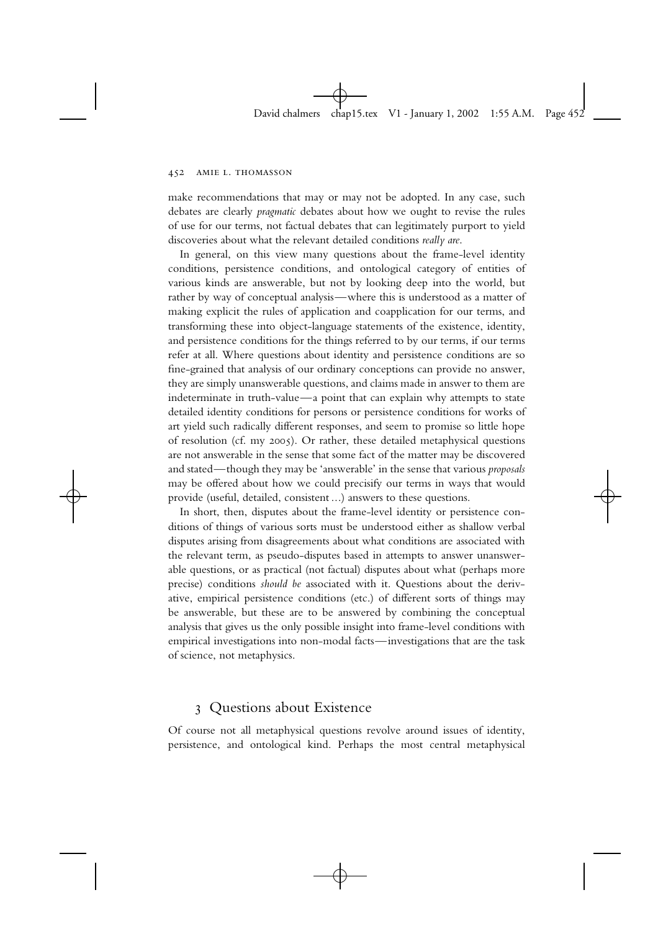$\oplus$ 

#### 452 amie l. thomasson

 $\bigoplus$ 

make recommendations that may or may not be adopted. In any case, such debates are clearly *pragmatic* debates about how we ought to revise the rules of use for our terms, not factual debates that can legitimately purport to yield discoveries about what the relevant detailed conditions *really are*.

 $\bigoplus$ 

In general, on this view many questions about the frame-level identity conditions, persistence conditions, and ontological category of entities of various kinds are answerable, but not by looking deep into the world, but rather by way of conceptual analysis—where this is understood as a matter of making explicit the rules of application and coapplication for our terms, and transforming these into object-language statements of the existence, identity, and persistence conditions for the things referred to by our terms, if our terms refer at all. Where questions about identity and persistence conditions are so fine-grained that analysis of our ordinary conceptions can provide no answer, they are simply unanswerable questions, and claims made in answer to them are indeterminate in truth-value—a point that can explain why attempts to state detailed identity conditions for persons or persistence conditions for works of art yield such radically different responses, and seem to promise so little hope of resolution (cf. my 2005). Or rather, these detailed metaphysical questions are not answerable in the sense that some fact of the matter may be discovered and stated—though they may be 'answerable' in the sense that various *proposals* may be offered about how we could precisify our terms in ways that would provide (useful, detailed, consistent ...) answers to these questions.

In short, then, disputes about the frame-level identity or persistence conditions of things of various sorts must be understood either as shallow verbal disputes arising from disagreements about what conditions are associated with the relevant term, as pseudo-disputes based in attempts to answer unanswerable questions, or as practical (not factual) disputes about what (perhaps more precise) conditions *should be* associated with it. Questions about the derivative, empirical persistence conditions (etc.) of different sorts of things may be answerable, but these are to be answered by combining the conceptual analysis that gives us the only possible insight into frame-level conditions with empirical investigations into non-modal facts—investigations that are the task of science, not metaphysics.

## 3 Questions about Existence

Of course not all metaphysical questions revolve around issues of identity, persistence, and ontological kind. Perhaps the most central metaphysical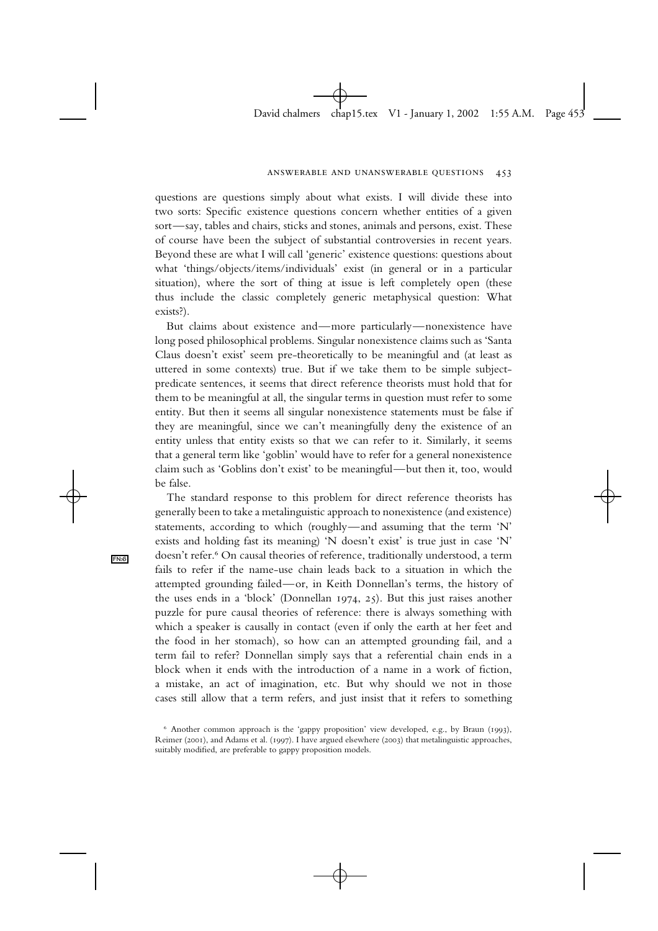$\oplus$ 

#### answerable and unanswerable questions 453

questions are questions simply about what exists. I will divide these into two sorts: Specific existence questions concern whether entities of a given sort— say, tables and chairs, sticks and stones, animals and persons, exist. These of course have been the subject of substantial controversies in recent years. Beyond these are what I will call 'generic' existence questions: questions about what 'things/objects/items/individuals' exist (in general or in a particular situation), where the sort of thing at issue is left completely open (these thus include the classic completely generic metaphysical question: What exists?).

 $\bigoplus$ 

But claims about existence and—more particularly—nonexistence have long posed philosophical problems. Singular nonexistence claims such as 'Santa Claus doesn't exist' seem pre-theoretically to be meaningful and (at least as uttered in some contexts) true. But if we take them to be simple subjectpredicate sentences, it seems that direct reference theorists must hold that for them to be meaningful at all, the singular terms in question must refer to some entity. But then it seems all singular nonexistence statements must be false if they are meaningful, since we can't meaningfully deny the existence of an entity unless that entity exists so that we can refer to it. Similarly, it seems that a general term like 'goblin' would have to refer for a general nonexistence claim such as 'Goblins don't exist' to be meaningful—but then it, too, would be false.

The standard response to this problem for direct reference theorists has generally been to take a metalinguistic approach to nonexistence (and existence) statements, according to which (roughly—and assuming that the term 'N' exists and holding fast its meaning) 'N doesn't exist' is true just in case 'N' FN:6<sup>7</sup> doesn't refer.<sup>6</sup> On causal theories of reference, traditionally understood, a term fails to refer if the name-use chain leads back to a situation in which the attempted grounding failed—or, in Keith Donnellan's terms, the history of the uses ends in a 'block' (Donnellan 1974, 25). But this just raises another puzzle for pure causal theories of reference: there is always something with which a speaker is causally in contact (even if only the earth at her feet and the food in her stomach), so how can an attempted grounding fail, and a term fail to refer? Donnellan simply says that a referential chain ends in a block when it ends with the introduction of a name in a work of fiction, a mistake, an act of imagination, etc. But why should we not in those cases still allow that a term refers, and just insist that it refers to something

 $\bigoplus$ 

⁶ Another common approach is the 'gappy proposition' view developed, e.g., by Braun (1993), Reimer (2001), and Adams et al. (1997). I have argued elsewhere (2003) that metalinguistic approaches, suitably modified, are preferable to gappy proposition models.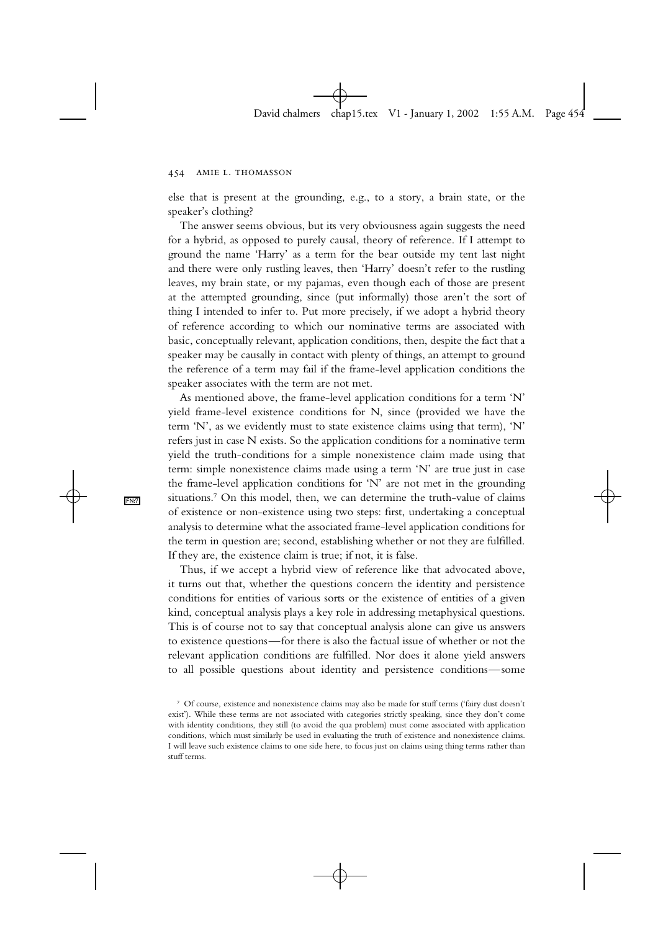#### 454 amie l. thomasson

else that is present at the grounding, e.g., to a story, a brain state, or the speaker's clothing?

 $\bigoplus$ 

The answer seems obvious, but its very obviousness again suggests the need for a hybrid, as opposed to purely causal, theory of reference. If I attempt to ground the name 'Harry' as a term for the bear outside my tent last night and there were only rustling leaves, then 'Harry' doesn't refer to the rustling leaves, my brain state, or my pajamas, even though each of those are present at the attempted grounding, since (put informally) those aren't the sort of thing I intended to infer to. Put more precisely, if we adopt a hybrid theory of reference according to which our nominative terms are associated with basic, conceptually relevant, application conditions, then, despite the fact that a speaker may be causally in contact with plenty of things, an attempt to ground the reference of a term may fail if the frame-level application conditions the speaker associates with the term are not met.

As mentioned above, the frame-level application conditions for a term 'N' yield frame-level existence conditions for N, since (provided we have the term 'N', as we evidently must to state existence claims using that term), 'N' refers just in case N exists. So the application conditions for a nominative term yield the truth-conditions for a simple nonexistence claim made using that term: simple nonexistence claims made using a term 'N' are true just in case the frame-level application conditions for 'N' are not met in the grounding **FN:7** situations.<sup>7</sup> On this model, then, we can determine the truth-value of claims of existence or non-existence using two steps: first, undertaking a conceptual analysis to determine what the associated frame-level application conditions for the term in question are; second, establishing whether or not they are fulfilled. If they are, the existence claim is true; if not, it is false.

 $\oplus$ 

Thus, if we accept a hybrid view of reference like that advocated above, it turns out that, whether the questions concern the identity and persistence conditions for entities of various sorts or the existence of entities of a given kind, conceptual analysis plays a key role in addressing metaphysical questions. This is of course not to say that conceptual analysis alone can give us answers to existence questions—for there is also the factual issue of whether or not the relevant application conditions are fulfilled. Nor does it alone yield answers to all possible questions about identity and persistence conditions— some

 $\bigoplus$ 

⁷ Of course, existence and nonexistence claims may also be made for stuff terms ('fairy dust doesn't exist'). While these terms are not associated with categories strictly speaking, since they don't come with identity conditions, they still (to avoid the qua problem) must come associated with application conditions, which must similarly be used in evaluating the truth of existence and nonexistence claims. I will leave such existence claims to one side here, to focus just on claims using thing terms rather than stuff terms.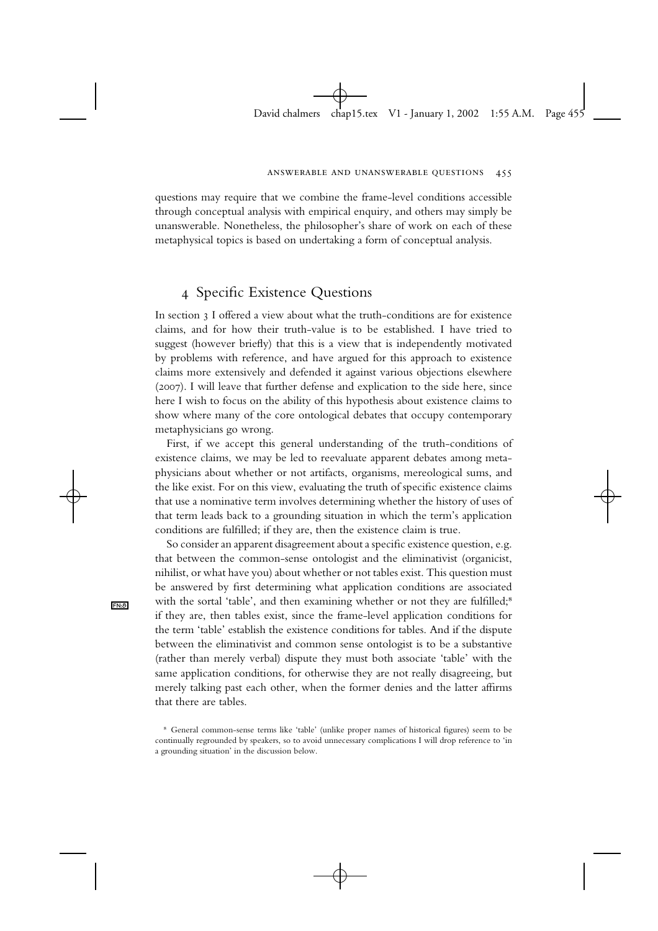$\oplus$ 

#### answerable and unanswerable questions 455

questions may require that we combine the frame-level conditions accessible through conceptual analysis with empirical enquiry, and others may simply be unanswerable. Nonetheless, the philosopher's share of work on each of these metaphysical topics is based on undertaking a form of conceptual analysis.

## 4 Specific Existence Questions

In section 3 I offered a view about what the truth-conditions are for existence claims, and for how their truth-value is to be established. I have tried to suggest (however briefly) that this is a view that is independently motivated by problems with reference, and have argued for this approach to existence claims more extensively and defended it against various objections elsewhere (2007). I will leave that further defense and explication to the side here, since here I wish to focus on the ability of this hypothesis about existence claims to show where many of the core ontological debates that occupy contemporary metaphysicians go wrong.

First, if we accept this general understanding of the truth-conditions of existence claims, we may be led to reevaluate apparent debates among metaphysicians about whether or not artifacts, organisms, mereological sums, and the like exist. For on this view, evaluating the truth of specific existence claims that use a nominative term involves determining whether the history of uses of that term leads back to a grounding situation in which the term's application conditions are fulfilled; if they are, then the existence claim is true.

So consider an apparent disagreement about a specific existence question, e.g. that between the common-sense ontologist and the eliminativist (organicist, nihilist, or what have you) about whether or not tables exist. This question must be answered by first determining what application conditions are associated **FN:8** with the sortal 'table', and then examining whether or not they are fulfilled;<sup>8</sup> if they are, then tables exist, since the frame-level application conditions for the term 'table' establish the existence conditions for tables. And if the dispute between the eliminativist and common sense ontologist is to be a substantive (rather than merely verbal) dispute they must both associate 'table' with the same application conditions, for otherwise they are not really disagreeing, but merely talking past each other, when the former denies and the latter affirms that there are tables.

 $\bigoplus$ 

⁸ General common-sense terms like 'table' (unlike proper names of historical figures) seem to be continually regrounded by speakers, so to avoid unnecessary complications I will drop reference to 'in a grounding situation' in the discussion below.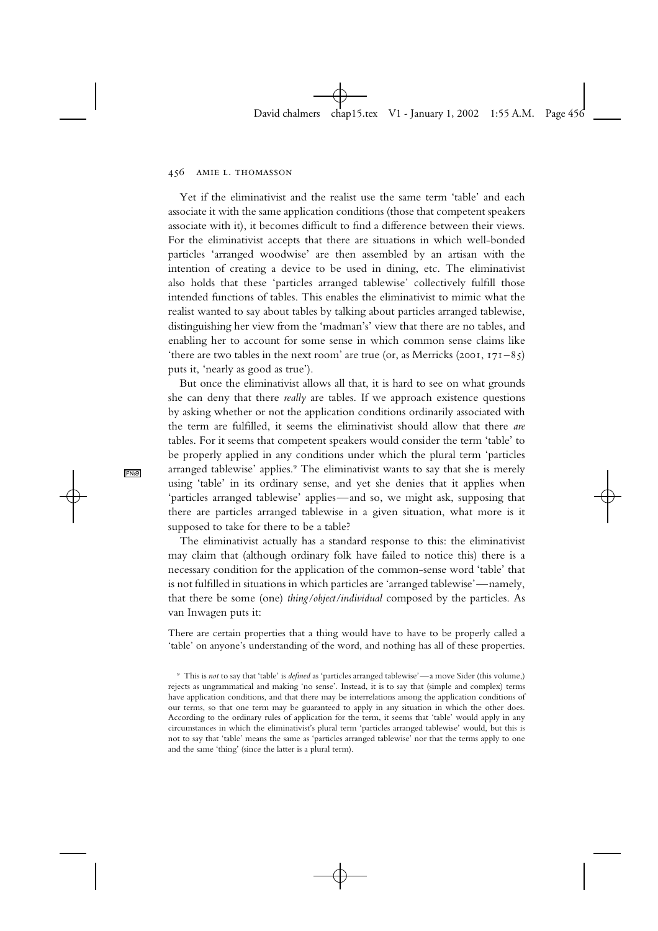#### 456 amie l. thomasson

Yet if the eliminativist and the realist use the same term 'table' and each associate it with the same application conditions (those that competent speakers associate with it), it becomes difficult to find a difference between their views. For the eliminativist accepts that there are situations in which well-bonded particles 'arranged woodwise' are then assembled by an artisan with the intention of creating a device to be used in dining, etc. The eliminativist also holds that these 'particles arranged tablewise' collectively fulfill those intended functions of tables. This enables the eliminativist to mimic what the realist wanted to say about tables by talking about particles arranged tablewise, distinguishing her view from the 'madman's' view that there are no tables, and enabling her to account for some sense in which common sense claims like 'there are two tables in the next room' are true (or, as Merricks (2001,  $171-85$ ) puts it, 'nearly as good as true').

 $\bigoplus$ 

But once the eliminativist allows all that, it is hard to see on what grounds she can deny that there *really* are tables. If we approach existence questions by asking whether or not the application conditions ordinarily associated with the term are fulfilled, it seems the eliminativist should allow that there *are* tables. For it seems that competent speakers would consider the term 'table' to be properly applied in any conditions under which the plural term 'particles FN:9] arranged tablewise' applies.<sup>9</sup> The eliminativist wants to say that she is merely using 'table' in its ordinary sense, and yet she denies that it applies when 'particles arranged tablewise' applies—and so, we might ask, supposing that there are particles arranged tablewise in a given situation, what more is it supposed to take for there to be a table?

 $\oplus$ 

The eliminativist actually has a standard response to this: the eliminativist may claim that (although ordinary folk have failed to notice this) there is a necessary condition for the application of the common-sense word 'table' that is not fulfilled in situations in which particles are 'arranged tablewise'—namely, that there be some (one) *thing/object/individual* composed by the particles. As van Inwagen puts it:

There are certain properties that a thing would have to have to be properly called a 'table' on anyone's understanding of the word, and nothing has all of these properties.

 $\bigoplus$ 

⁹ This is *not* to say that 'table' is *defined* as 'particles arranged tablewise'—a move Sider (this volume,) rejects as ungrammatical and making 'no sense'. Instead, it is to say that (simple and complex) terms have application conditions, and that there may be interrelations among the application conditions of our terms, so that one term may be guaranteed to apply in any situation in which the other does. According to the ordinary rules of application for the term, it seems that 'table' would apply in any circumstances in which the eliminativist's plural term 'particles arranged tablewise' would, but this is not to say that 'table' means the same as 'particles arranged tablewise' nor that the terms apply to one and the same 'thing' (since the latter is a plural term).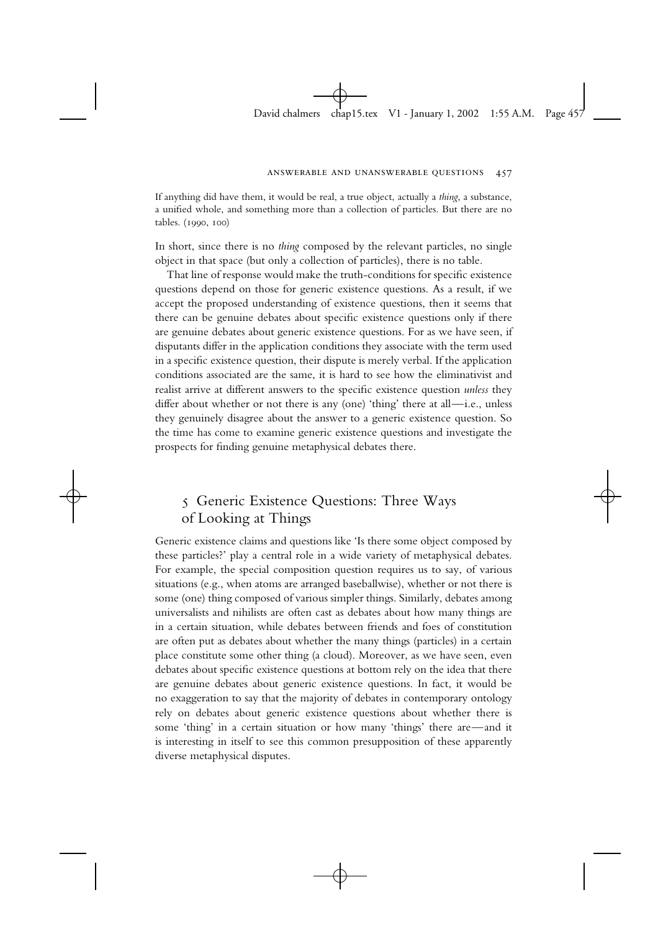$\oplus$ 

#### answerable and unanswerable questions 457

If anything did have them, it would be real, a true object, actually a *thing*, a substance, a unified whole, and something more than a collection of particles. But there are no tables. (1990, 100)

 $\bigoplus$ 

In short, since there is no *thing* composed by the relevant particles, no single object in that space (but only a collection of particles), there is no table.

That line of response would make the truth-conditions for specific existence questions depend on those for generic existence questions. As a result, if we accept the proposed understanding of existence questions, then it seems that there can be genuine debates about specific existence questions only if there are genuine debates about generic existence questions. For as we have seen, if disputants differ in the application conditions they associate with the term used in a specific existence question, their dispute is merely verbal. If the application conditions associated are the same, it is hard to see how the eliminativist and realist arrive at different answers to the specific existence question *unless* they differ about whether or not there is any (one) 'thing' there at all—i.e., unless they genuinely disagree about the answer to a generic existence question. So the time has come to examine generic existence questions and investigate the prospects for finding genuine metaphysical debates there.

## 5 Generic Existence Questions: Three Ways of Looking at Things

 $\bigoplus$ 

Generic existence claims and questions like 'Is there some object composed by these particles?' play a central role in a wide variety of metaphysical debates. For example, the special composition question requires us to say, of various situations (e.g., when atoms are arranged baseballwise), whether or not there is some (one) thing composed of various simpler things. Similarly, debates among universalists and nihilists are often cast as debates about how many things are in a certain situation, while debates between friends and foes of constitution are often put as debates about whether the many things (particles) in a certain place constitute some other thing (a cloud). Moreover, as we have seen, even debates about specific existence questions at bottom rely on the idea that there are genuine debates about generic existence questions. In fact, it would be no exaggeration to say that the majority of debates in contemporary ontology rely on debates about generic existence questions about whether there is some 'thing' in a certain situation or how many 'things' there are—and it is interesting in itself to see this common presupposition of these apparently diverse metaphysical disputes.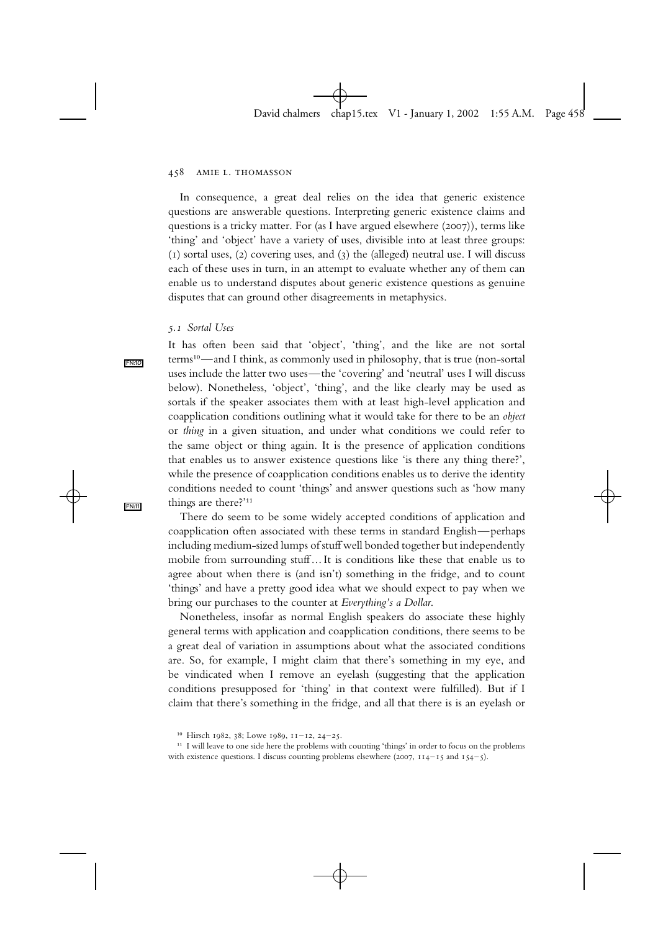$\oplus$ 

#### 458 amie l. thomasson

In consequence, a great deal relies on the idea that generic existence questions are answerable questions. Interpreting generic existence claims and questions is a tricky matter. For (as I have argued elsewhere (2007)), terms like 'thing' and 'object' have a variety of uses, divisible into at least three groups: (1) sortal uses, (2) covering uses, and (3) the (alleged) neutral use. I will discuss each of these uses in turn, in an attempt to evaluate whether any of them can enable us to understand disputes about generic existence questions as genuine disputes that can ground other disagreements in metaphysics.

 $\bigoplus$ 

#### *5.1 Sortal Uses*

It has often been said that 'object', 'thing', and the like are not sortal **EN:10** terms<sup>10</sup>—and I think, as commonly used in philosophy, that is true (non-sortal uses include the latter two uses—the 'covering' and 'neutral' uses I will discuss below). Nonetheless, 'object', 'thing', and the like clearly may be used as sortals if the speaker associates them with at least high-level application and coapplication conditions outlining what it would take for there to be an *object* or *thing* in a given situation, and under what conditions we could refer to the same object or thing again. It is the presence of application conditions that enables us to answer existence questions like 'is there any thing there?', while the presence of coapplication conditions enables us to derive the identity conditions needed to count 'things' and answer questions such as 'how many **FN:11** things are there?'<sup>11</sup>

> There do seem to be some widely accepted conditions of application and coapplication often associated with these terms in standard English—perhaps including medium-sized lumps of stuff well bonded together but independently mobile from surrounding stuff ... It is conditions like these that enable us to agree about when there is (and isn't) something in the fridge, and to count 'things' and have a pretty good idea what we should expect to pay when we bring our purchases to the counter at *Everything's a Dollar*.

> Nonetheless, insofar as normal English speakers do associate these highly general terms with application and coapplication conditions, there seems to be a great deal of variation in assumptions about what the associated conditions are. So, for example, I might claim that there's something in my eye, and be vindicated when I remove an eyelash (suggesting that the application conditions presupposed for 'thing' in that context were fulfilled). But if I claim that there's something in the fridge, and all that there is is an eyelash or

 $\bigoplus$ 

<sup>&</sup>lt;sup>10</sup> Hirsch 1982, 38; Lowe 1989, 11-12, 24-25.

<sup>&</sup>lt;sup>11</sup> I will leave to one side here the problems with counting 'things' in order to focus on the problems with existence questions. I discuss counting problems elsewhere (2007, 114-15 and 154-5).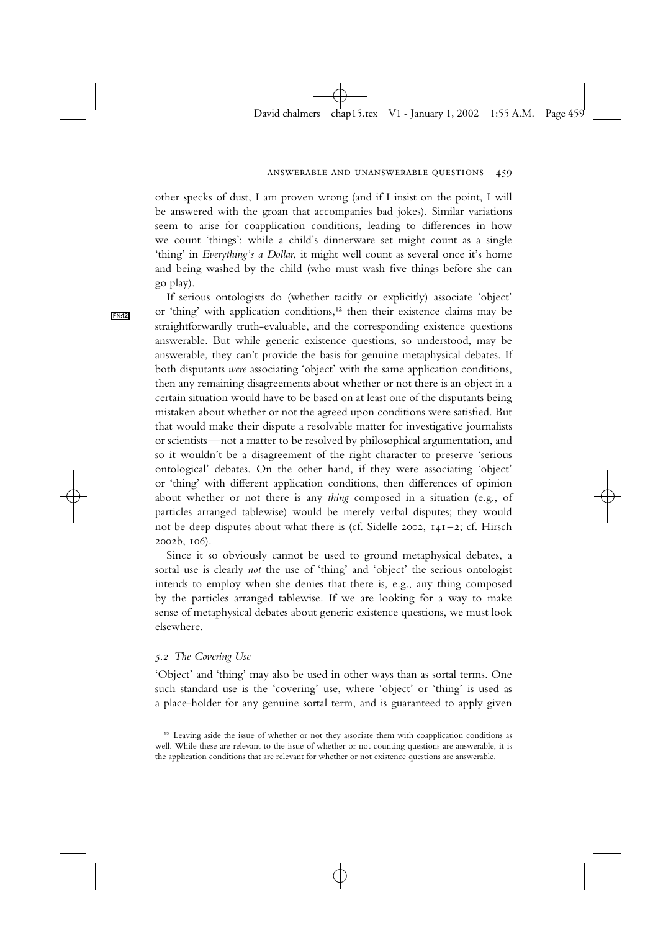$\oplus$ 

#### answerable and unanswerable questions 459

other specks of dust, I am proven wrong (and if I insist on the point, I will be answered with the groan that accompanies bad jokes). Similar variations seem to arise for coapplication conditions, leading to differences in how we count 'things': while a child's dinnerware set might count as a single 'thing' in *Everything's a Dollar*, it might well count as several once it's home and being washed by the child (who must wash five things before she can go play).

 $\bigoplus$ 

If serious ontologists do (whether tacitly or explicitly) associate 'object' FN:121 or 'thing' with application conditions,<sup>12</sup> then their existence claims may be straightforwardly truth-evaluable, and the corresponding existence questions answerable. But while generic existence questions, so understood, may be answerable, they can't provide the basis for genuine metaphysical debates. If both disputants *were* associating 'object' with the same application conditions, then any remaining disagreements about whether or not there is an object in a certain situation would have to be based on at least one of the disputants being mistaken about whether or not the agreed upon conditions were satisfied. But that would make their dispute a resolvable matter for investigative journalists or scientists—not a matter to be resolved by philosophical argumentation, and so it wouldn't be a disagreement of the right character to preserve 'serious ontological' debates. On the other hand, if they were associating 'object' or 'thing' with different application conditions, then differences of opinion about whether or not there is any *thing* composed in a situation (e.g., of particles arranged tablewise) would be merely verbal disputes; they would not be deep disputes about what there is (cf. Sidelle 2002, 141–2; cf. Hirsch 2002b, 106).

> Since it so obviously cannot be used to ground metaphysical debates, a sortal use is clearly *not* the use of 'thing' and 'object' the serious ontologist intends to employ when she denies that there is, e.g., any thing composed by the particles arranged tablewise. If we are looking for a way to make sense of metaphysical debates about generic existence questions, we must look elsewhere.

#### *5.2 The Covering Use*

'Object' and 'thing' may also be used in other ways than as sortal terms. One such standard use is the 'covering' use, where 'object' or 'thing' is used as a place-holder for any genuine sortal term, and is guaranteed to apply given

 $\bigoplus$ 

 $12$  Leaving aside the issue of whether or not they associate them with coapplication conditions as well. While these are relevant to the issue of whether or not counting questions are answerable, it is the application conditions that are relevant for whether or not existence questions are answerable.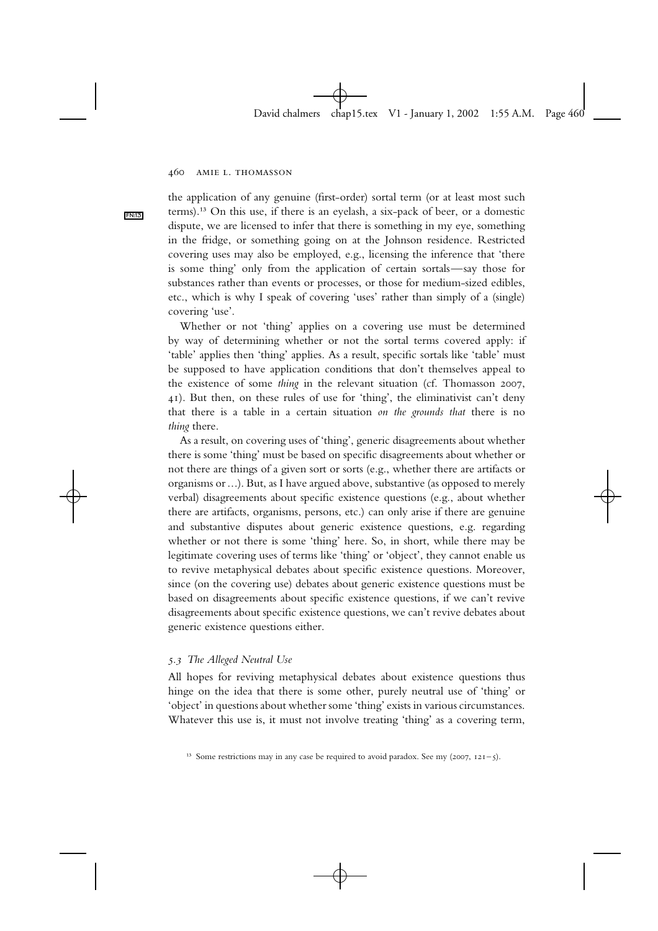$\oplus$ 

#### 460 amie l. thomasson

the application of any genuine (first-order) sortal term (or at least most such  $FF<sub>N:13</sub>$ </del> terms).<sup>13</sup> On this use, if there is an eyelash, a six-pack of beer, or a domestic dispute, we are licensed to infer that there is something in my eye, something in the fridge, or something going on at the Johnson residence. Restricted covering uses may also be employed, e.g., licensing the inference that 'there is some thing' only from the application of certain sortals— say those for substances rather than events or processes, or those for medium-sized edibles, etc., which is why I speak of covering 'uses' rather than simply of a (single) covering 'use'.

 $\bigoplus$ 

Whether or not 'thing' applies on a covering use must be determined by way of determining whether or not the sortal terms covered apply: if 'table' applies then 'thing' applies. As a result, specific sortals like 'table' must be supposed to have application conditions that don't themselves appeal to the existence of some *thing* in the relevant situation (cf. Thomasson 2007, 41). But then, on these rules of use for 'thing', the eliminativist can't deny that there is a table in a certain situation *on the grounds that* there is no *thing* there.

As a result, on covering uses of 'thing', generic disagreements about whether there is some 'thing' must be based on specific disagreements about whether or not there are things of a given sort or sorts (e.g., whether there are artifacts or organisms or ...). But, as I have argued above, substantive (as opposed to merely verbal) disagreements about specific existence questions (e.g., about whether there are artifacts, organisms, persons, etc.) can only arise if there are genuine and substantive disputes about generic existence questions, e.g. regarding whether or not there is some 'thing' here. So, in short, while there may be legitimate covering uses of terms like 'thing' or 'object', they cannot enable us to revive metaphysical debates about specific existence questions. Moreover, since (on the covering use) debates about generic existence questions must be based on disagreements about specific existence questions, if we can't revive disagreements about specific existence questions, we can't revive debates about generic existence questions either.

#### *5.3 The Alleged Neutral Use*

 $\bigoplus$ 

All hopes for reviving metaphysical debates about existence questions thus hinge on the idea that there is some other, purely neutral use of 'thing' or 'object' in questions about whether some 'thing' exists in various circumstances. Whatever this use is, it must not involve treating 'thing' as a covering term,

<sup>&</sup>lt;sup>13</sup> Some restrictions may in any case be required to avoid paradox. See my (2007,  $121 - 5$ ).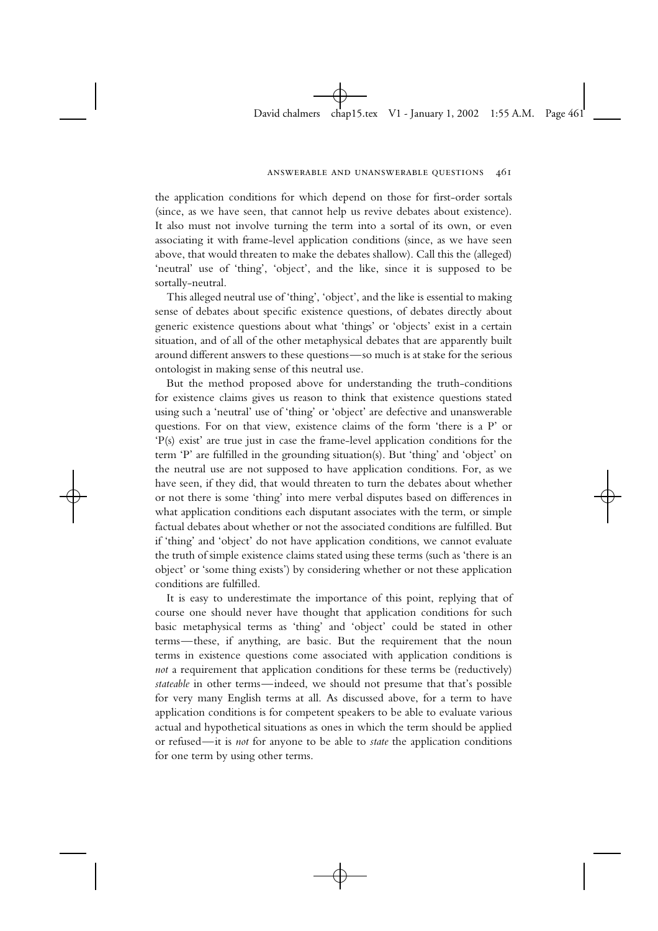#### answerable and unanswerable questions 461

the application conditions for which depend on those for first-order sortals (since, as we have seen, that cannot help us revive debates about existence). It also must not involve turning the term into a sortal of its own, or even associating it with frame-level application conditions (since, as we have seen above, that would threaten to make the debates shallow). Call this the (alleged) 'neutral' use of 'thing', 'object', and the like, since it is supposed to be sortally-neutral.

 $\bigoplus$ 

This alleged neutral use of 'thing', 'object', and the like is essential to making sense of debates about specific existence questions, of debates directly about generic existence questions about what 'things' or 'objects' exist in a certain situation, and of all of the other metaphysical debates that are apparently built around different answers to these questions— so much is at stake for the serious ontologist in making sense of this neutral use.

But the method proposed above for understanding the truth-conditions for existence claims gives us reason to think that existence questions stated using such a 'neutral' use of 'thing' or 'object' are defective and unanswerable questions. For on that view, existence claims of the form 'there is a P' or 'P(s) exist' are true just in case the frame-level application conditions for the term 'P' are fulfilled in the grounding situation(s). But 'thing' and 'object' on the neutral use are not supposed to have application conditions. For, as we have seen, if they did, that would threaten to turn the debates about whether or not there is some 'thing' into mere verbal disputes based on differences in what application conditions each disputant associates with the term, or simple factual debates about whether or not the associated conditions are fulfilled. But if 'thing' and 'object' do not have application conditions, we cannot evaluate the truth of simple existence claims stated using these terms (such as 'there is an object' or 'some thing exists') by considering whether or not these application conditions are fulfilled.

 $\bigoplus$ 

It is easy to underestimate the importance of this point, replying that of course one should never have thought that application conditions for such basic metaphysical terms as 'thing' and 'object' could be stated in other terms—these, if anything, are basic. But the requirement that the noun terms in existence questions come associated with application conditions is *not* a requirement that application conditions for these terms be (reductively) *stateable* in other terms—indeed, we should not presume that that's possible for very many English terms at all. As discussed above, for a term to have application conditions is for competent speakers to be able to evaluate various actual and hypothetical situations as ones in which the term should be applied or refused—it is *not* for anyone to be able to *state* the application conditions for one term by using other terms.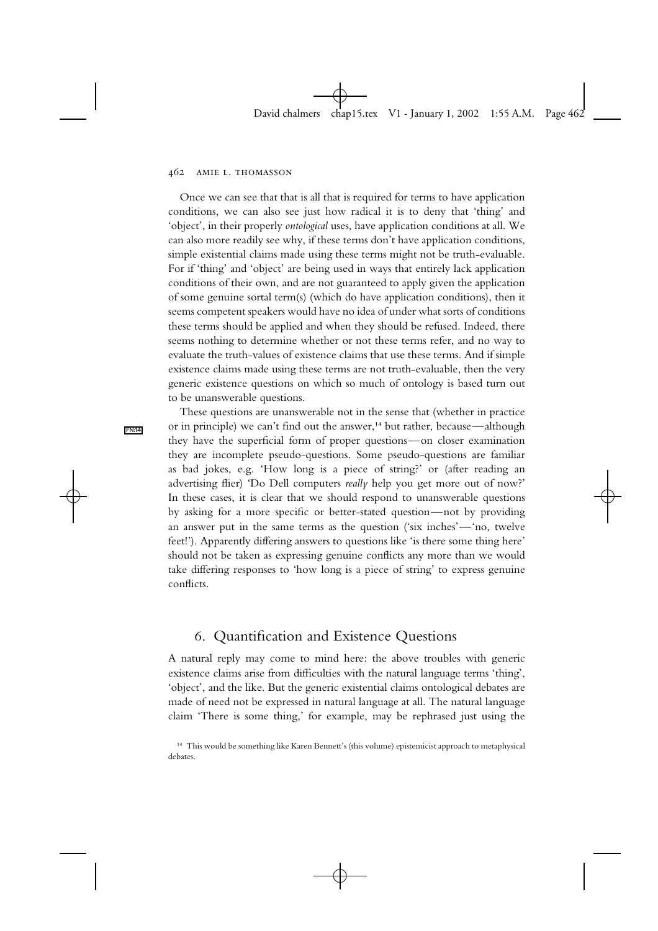#### 462 amie l. thomasson

Once we can see that that is all that is required for terms to have application conditions, we can also see just how radical it is to deny that 'thing' and 'object', in their properly *ontological* uses, have application conditions at all. We can also more readily see why, if these terms don't have application conditions, simple existential claims made using these terms might not be truth-evaluable. For if 'thing' and 'object' are being used in ways that entirely lack application conditions of their own, and are not guaranteed to apply given the application of some genuine sortal term(s) (which do have application conditions), then it seems competent speakers would have no idea of under what sorts of conditions these terms should be applied and when they should be refused. Indeed, there seems nothing to determine whether or not these terms refer, and no way to evaluate the truth-values of existence claims that use these terms. And if simple existence claims made using these terms are not truth-evaluable, then the very generic existence questions on which so much of ontology is based turn out to be unanswerable questions.

 $\bigoplus$ 

These questions are unanswerable not in the sense that (whether in practice FN:14 or in principle) we can't find out the answer,<sup>14</sup> but rather, because—although they have the superficial form of proper questions—on closer examination they are incomplete pseudo-questions. Some pseudo-questions are familiar as bad jokes, e.g. 'How long is a piece of string?' or (after reading an advertising flier) 'Do Dell computers *really* help you get more out of now?' In these cases, it is clear that we should respond to unanswerable questions by asking for a more specific or better-stated question—not by providing an answer put in the same terms as the question ('six inches'—'no, twelve feet!'). Apparently differing answers to questions like 'is there some thing here' should not be taken as expressing genuine conflicts any more than we would take differing responses to 'how long is a piece of string' to express genuine conflicts.

 $\oplus$ 

### 6. Quantification and Existence Questions

A natural reply may come to mind here: the above troubles with generic existence claims arise from difficulties with the natural language terms 'thing', 'object', and the like. But the generic existential claims ontological debates are made of need not be expressed in natural language at all. The natural language claim 'There is some thing,' for example, may be rephrased just using the

<sup>14</sup> This would be something like Karen Bennett's (this volume) epistemicist approach to metaphysical debates

 $\bigoplus$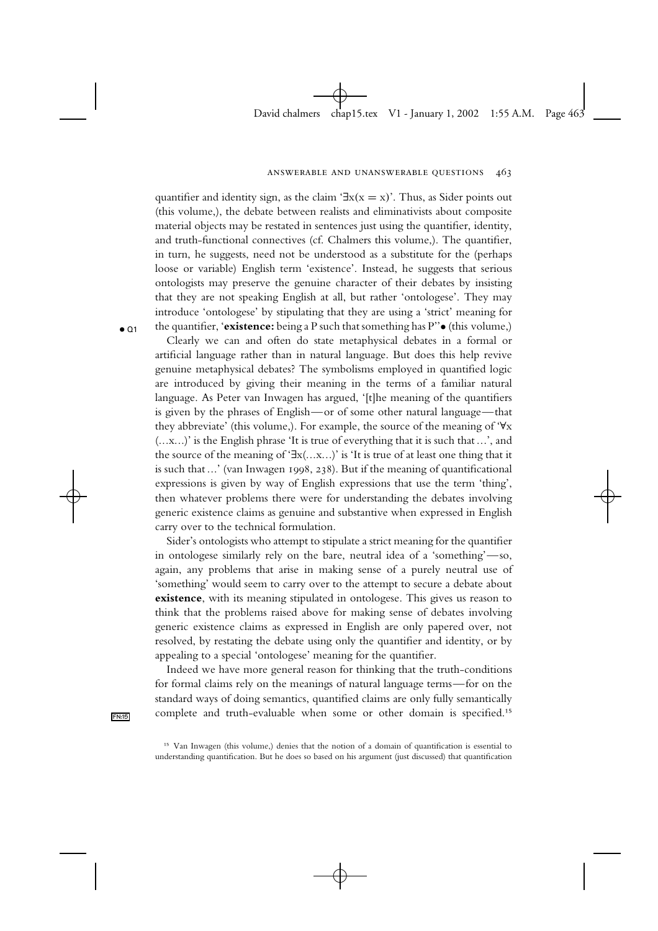#### answerable and unanswerable questions 463

quantifier and identity sign, as the claim  $\exists x(x = x)$ . Thus, as Sider points out (this volume,), the debate between realists and eliminativists about composite material objects may be restated in sentences just using the quantifier, identity, and truth-functional connectives (cf. Chalmers this volume,). The quantifier, in turn, he suggests, need not be understood as a substitute for the (perhaps loose or variable) English term 'existence'. Instead, he suggests that serious ontologists may preserve the genuine character of their debates by insisting that they are not speaking English at all, but rather 'ontologese'. They may introduce 'ontologese' by stipulating that they are using a 'strict' meaning for •  $_{01}$  the quantifier, 'existence: being a P such that something has P"• (this volume,)

Clearly we can and often do state metaphysical debates in a formal or artificial language rather than in natural language. But does this help revive genuine metaphysical debates? The symbolisms employed in quantified logic are introduced by giving their meaning in the terms of a familiar natural language. As Peter van Inwagen has argued, '[t]he meaning of the quantifiers is given by the phrases of English—or of some other natural language—that they abbreviate' (this volume,). For example, the source of the meaning of '∀x (...x...)' is the English phrase 'It is true of everything that it is such that ...', and the source of the meaning of '∃x(...x...)' is 'It is true of at least one thing that it is such that ...' (van Inwagen 1998, 238). But if the meaning of quantificational expressions is given by way of English expressions that use the term 'thing', then whatever problems there were for understanding the debates involving generic existence claims as genuine and substantive when expressed in English carry over to the technical formulation.

Sider's ontologists who attempt to stipulate a strict meaning for the quantifier in ontologese similarly rely on the bare, neutral idea of a 'something'— so, again, any problems that arise in making sense of a purely neutral use of 'something' would seem to carry over to the attempt to secure a debate about **existence**, with its meaning stipulated in ontologese. This gives us reason to think that the problems raised above for making sense of debates involving generic existence claims as expressed in English are only papered over, not resolved, by restating the debate using only the quantifier and identity, or by appealing to a special 'ontologese' meaning for the quantifier.

Indeed we have more general reason for thinking that the truth-conditions for formal claims rely on the meanings of natural language terms—for on the standard ways of doing semantics, quantified claims are only fully semantically FN:15 complete and truth-evaluable when some or other domain is specified.<sup>15</sup>

 $\bigoplus$ 

<sup>&</sup>lt;sup>15</sup> Van Inwagen (this volume,) denies that the notion of a domain of quantification is essential to understanding quantification. But he does so based on his argument (just discussed) that quantification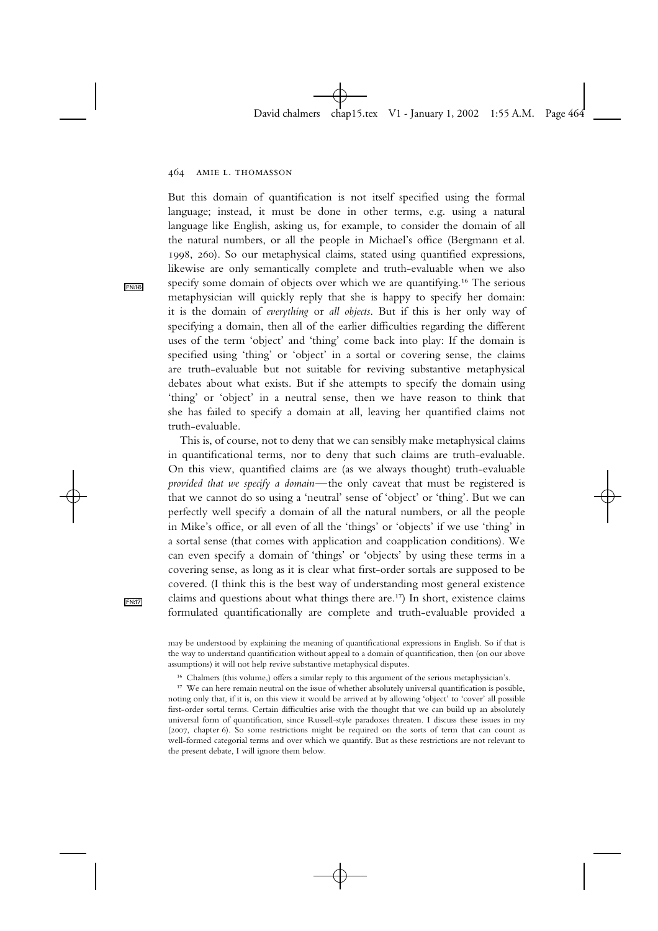#### 464 amie l. thomasson

But this domain of quantification is not itself specified using the formal language; instead, it must be done in other terms, e.g. using a natural language like English, asking us, for example, to consider the domain of all the natural numbers, or all the people in Michael's office (Bergmann et al. 1998, 260). So our metaphysical claims, stated using quantified expressions, likewise are only semantically complete and truth-evaluable when we also **FN:16** specify some domain of objects over which we are quantifying.<sup>16</sup> The serious metaphysician will quickly reply that she is happy to specify her domain: it is the domain of *everything* or *all objects*. But if this is her only way of specifying a domain, then all of the earlier difficulties regarding the different uses of the term 'object' and 'thing' come back into play: If the domain is specified using 'thing' or 'object' in a sortal or covering sense, the claims are truth-evaluable but not suitable for reviving substantive metaphysical debates about what exists. But if she attempts to specify the domain using 'thing' or 'object' in a neutral sense, then we have reason to think that she has failed to specify a domain at all, leaving her quantified claims not truth-evaluable.

 $\bigoplus$ 

This is, of course, not to deny that we can sensibly make metaphysical claims in quantificational terms, nor to deny that such claims are truth-evaluable. On this view, quantified claims are (as we always thought) truth-evaluable *provided that we specify a domain*—the only caveat that must be registered is that we cannot do so using a 'neutral' sense of 'object' or 'thing'. But we can perfectly well specify a domain of all the natural numbers, or all the people in Mike's office, or all even of all the 'things' or 'objects' if we use 'thing' in a sortal sense (that comes with application and coapplication conditions). We can even specify a domain of 'things' or 'objects' by using these terms in a covering sense, as long as it is clear what first-order sortals are supposed to be covered. (I think this is the best way of understanding most general existence FN:17 claims and questions about what things there are.<sup>17</sup>) In short, existence claims formulated quantificationally are complete and truth-evaluable provided a

 $\oplus$ 

may be understood by explaining the meaning of quantificational expressions in English. So if that is the way to understand quantification without appeal to a domain of quantification, then (on our above assumptions) it will not help revive substantive metaphysical disputes.

<sup>16</sup> Chalmers (this volume,) offers a similar reply to this argument of the serious metaphysician's.

<sup>17</sup> We can here remain neutral on the issue of whether absolutely universal quantification is possible, noting only that, if it is, on this view it would be arrived at by allowing 'object' to 'cover' all possible first-order sortal terms. Certain difficulties arise with the thought that we can build up an absolutely universal form of quantification, since Russell-style paradoxes threaten. I discuss these issues in my (2007, chapter 6). So some restrictions might be required on the sorts of term that can count as well-formed categorial terms and over which we quantify. But as these restrictions are not relevant to the present debate, I will ignore them below.

 $\bigoplus$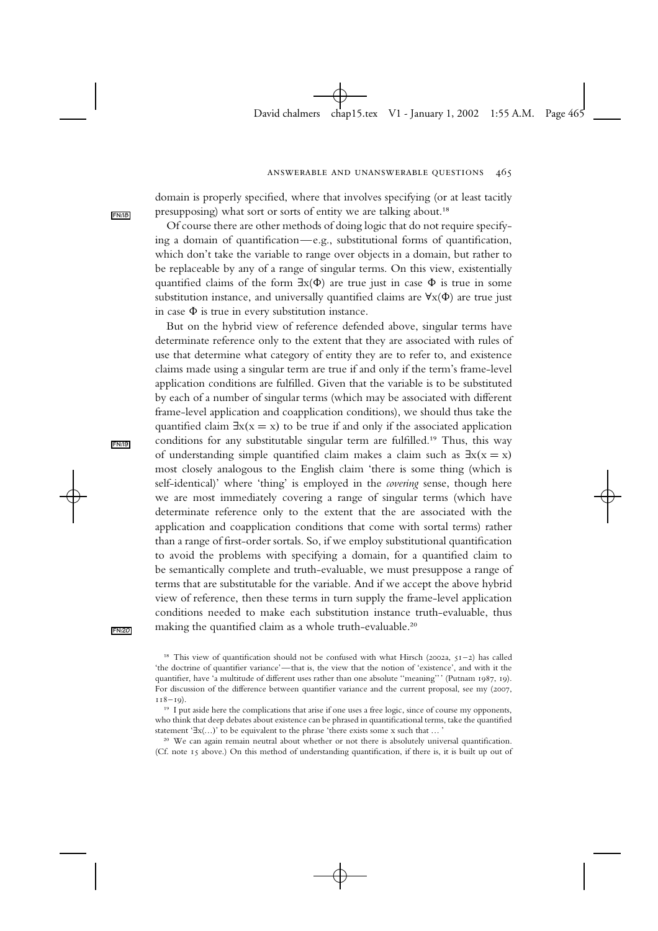#### answerable and unanswerable questions 465

domain is properly specified, where that involves specifying (or at least tacitly **presupposing)** what sort or sorts of entity we are talking about.<sup>18</sup>

> Of course there are other methods of doing logic that do not require specifying a domain of quantification—e.g., substitutional forms of quantification, which don't take the variable to range over objects in a domain, but rather to be replaceable by any of a range of singular terms. On this view, existentially quantified claims of the form  $\exists x(\Phi)$  are true just in case  $\Phi$  is true in some substitution instance, and universally quantified claims are  $\forall x(\Phi)$  are true just in case  $\Phi$  is true in every substitution instance.

But on the hybrid view of reference defended above, singular terms have determinate reference only to the extent that they are associated with rules of use that determine what category of entity they are to refer to, and existence claims made using a singular term are true if and only if the term's frame-level application conditions are fulfilled. Given that the variable is to be substituted by each of a number of singular terms (which may be associated with different frame-level application and coapplication conditions), we should thus take the quantified claim  $\exists x(x = x)$  to be true if and only if the associated application FN:19 conditions for any substitutable singular term are fulfilled.<sup>19</sup> Thus, this way of understanding simple quantified claim makes a claim such as ∃x*(*x = x*)* most closely analogous to the English claim 'there is some thing (which is self-identical)' where 'thing' is employed in the *covering* sense, though here we are most immediately covering a range of singular terms (which have determinate reference only to the extent that the are associated with the application and coapplication conditions that come with sortal terms) rather than a range of first-order sortals. So, if we employ substitutional quantification to avoid the problems with specifying a domain, for a quantified claim to be semantically complete and truth-evaluable, we must presuppose a range of terms that are substitutable for the variable. And if we accept the above hybrid view of reference, then these terms in turn supply the frame-level application conditions needed to make each substitution instance truth-evaluable, thus FN:20 making the quantified claim as a whole truth-evaluable.<sup>20</sup>

<sup>20</sup> We can again remain neutral about whether or not there is absolutely universal quantification. (Cf. note 15 above.) On this method of understanding quantification, if there is, it is built up out of

 $\bigoplus$ 

<sup>&</sup>lt;sup>18</sup> This view of quantification should not be confused with what Hirsch (2002a,  $51-2$ ) has called 'the doctrine of quantifier variance'—that is, the view that the notion of 'existence', and with it the quantifier, have 'a multitude of different uses rather than one absolute ''meaning'' ' (Putnam 1987, 19). For discussion of the difference between quantifier variance and the current proposal, see my (2007, 118–19).

<sup>&</sup>lt;sup>19</sup> I put aside here the complications that arise if one uses a free logic, since of course my opponents, who think that deep debates about existence can be phrased in quantificational terms, take the quantified statement '∃x(...)' to be equivalent to the phrase 'there exists some x such that ...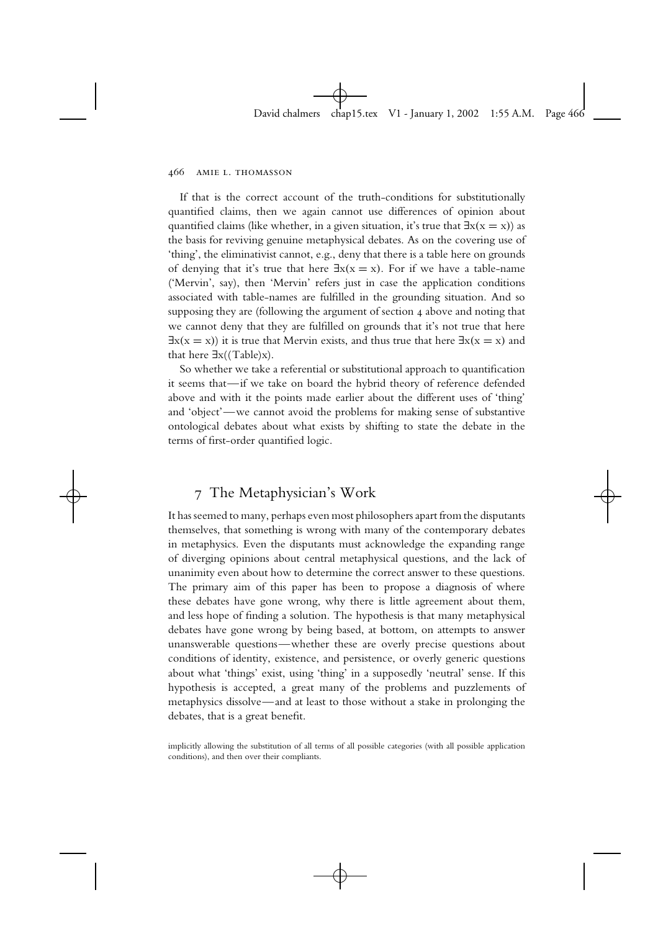$\oplus$ 

#### 466 amie l. thomasson

If that is the correct account of the truth-conditions for substitutionally quantified claims, then we again cannot use differences of opinion about quantified claims (like whether, in a given situation, it's true that  $\exists x(x = x)$ ) as the basis for reviving genuine metaphysical debates. As on the covering use of 'thing', the eliminativist cannot, e.g., deny that there is a table here on grounds of denying that it's true that here  $\exists x(x = x)$ . For if we have a table-name ('Mervin', say), then 'Mervin' refers just in case the application conditions associated with table-names are fulfilled in the grounding situation. And so supposing they are (following the argument of section 4 above and noting that we cannot deny that they are fulfilled on grounds that it's not true that here  $\exists x(x = x)$  it is true that Mervin exists, and thus true that here  $\exists x(x = x)$  and that here  $\exists x((Table)x)$ .

 $\bigoplus$ 

So whether we take a referential or substitutional approach to quantification it seems that—if we take on board the hybrid theory of reference defended above and with it the points made earlier about the different uses of 'thing' and 'object'—we cannot avoid the problems for making sense of substantive ontological debates about what exists by shifting to state the debate in the terms of first-order quantified logic.

## 7 The Metaphysician's Work

 $\bigoplus$ 

It has seemed to many, perhaps even most philosophers apart from the disputants themselves, that something is wrong with many of the contemporary debates in metaphysics. Even the disputants must acknowledge the expanding range of diverging opinions about central metaphysical questions, and the lack of unanimity even about how to determine the correct answer to these questions. The primary aim of this paper has been to propose a diagnosis of where these debates have gone wrong, why there is little agreement about them, and less hope of finding a solution. The hypothesis is that many metaphysical debates have gone wrong by being based, at bottom, on attempts to answer unanswerable questions—whether these are overly precise questions about conditions of identity, existence, and persistence, or overly generic questions about what 'things' exist, using 'thing' in a supposedly 'neutral' sense. If this hypothesis is accepted, a great many of the problems and puzzlements of metaphysics dissolve—and at least to those without a stake in prolonging the debates, that is a great benefit.

implicitly allowing the substitution of all terms of all possible categories (with all possible application conditions), and then over their compliants.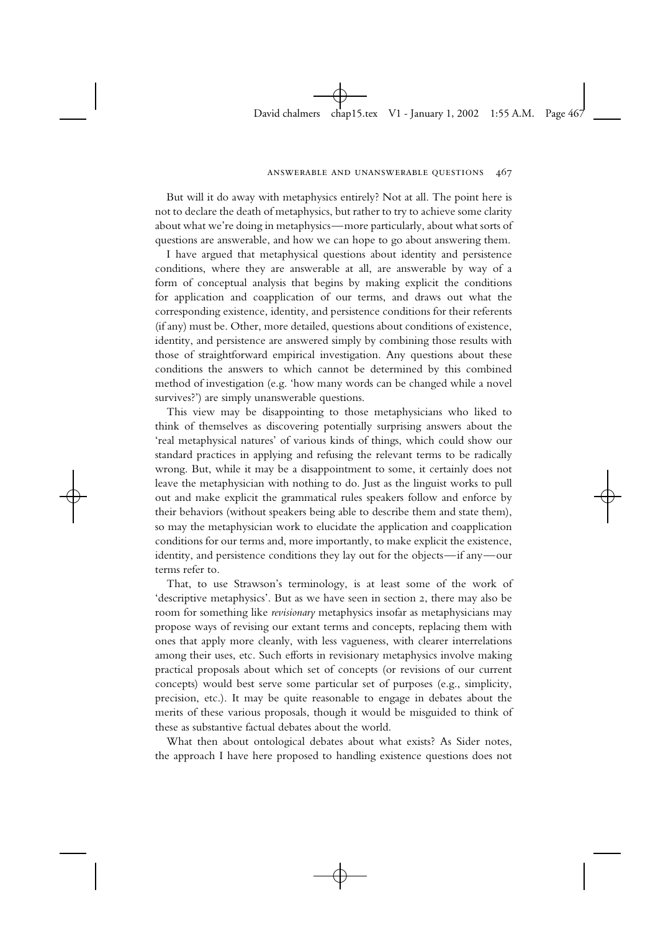#### answerable and unanswerable questions 467

But will it do away with metaphysics entirely? Not at all. The point here is not to declare the death of metaphysics, but rather to try to achieve some clarity about what we're doing in metaphysics—more particularly, about what sorts of questions are answerable, and how we can hope to go about answering them.

I have argued that metaphysical questions about identity and persistence conditions, where they are answerable at all, are answerable by way of a form of conceptual analysis that begins by making explicit the conditions for application and coapplication of our terms, and draws out what the corresponding existence, identity, and persistence conditions for their referents (if any) must be. Other, more detailed, questions about conditions of existence, identity, and persistence are answered simply by combining those results with those of straightforward empirical investigation. Any questions about these conditions the answers to which cannot be determined by this combined method of investigation (e.g. 'how many words can be changed while a novel survives?') are simply unanswerable questions.

This view may be disappointing to those metaphysicians who liked to think of themselves as discovering potentially surprising answers about the 'real metaphysical natures' of various kinds of things, which could show our standard practices in applying and refusing the relevant terms to be radically wrong. But, while it may be a disappointment to some, it certainly does not leave the metaphysician with nothing to do. Just as the linguist works to pull out and make explicit the grammatical rules speakers follow and enforce by their behaviors (without speakers being able to describe them and state them), so may the metaphysician work to elucidate the application and coapplication conditions for our terms and, more importantly, to make explicit the existence, identity, and persistence conditions they lay out for the objects—if any—our terms refer to.

 $\bigoplus$ 

That, to use Strawson's terminology, is at least some of the work of 'descriptive metaphysics'. But as we have seen in section 2, there may also be room for something like *revisionary* metaphysics insofar as metaphysicians may propose ways of revising our extant terms and concepts, replacing them with ones that apply more cleanly, with less vagueness, with clearer interrelations among their uses, etc. Such efforts in revisionary metaphysics involve making practical proposals about which set of concepts (or revisions of our current concepts) would best serve some particular set of purposes (e.g., simplicity, precision, etc.). It may be quite reasonable to engage in debates about the merits of these various proposals, though it would be misguided to think of these as substantive factual debates about the world.

What then about ontological debates about what exists? As Sider notes, the approach I have here proposed to handling existence questions does not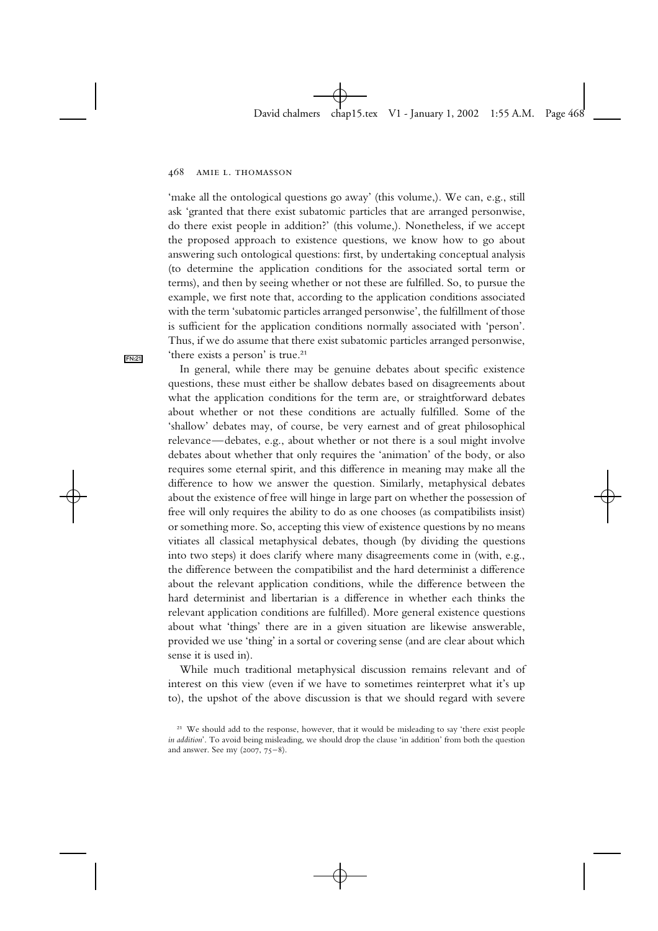#### 468 amie l. thomasson

'make all the ontological questions go away' (this volume,). We can, e.g., still ask 'granted that there exist subatomic particles that are arranged personwise, do there exist people in addition?' (this volume,). Nonetheless, if we accept the proposed approach to existence questions, we know how to go about answering such ontological questions: first, by undertaking conceptual analysis (to determine the application conditions for the associated sortal term or terms), and then by seeing whether or not these are fulfilled. So, to pursue the example, we first note that, according to the application conditions associated with the term 'subatomic particles arranged personwise', the fulfillment of those is sufficient for the application conditions normally associated with 'person'. Thus, if we do assume that there exist subatomic particles arranged personwise, FN:21 
<sup>there</sup> exists a person' is true.<sup>21</sup>

 $\bigoplus$ 

In general, while there may be genuine debates about specific existence questions, these must either be shallow debates based on disagreements about what the application conditions for the term are, or straightforward debates about whether or not these conditions are actually fulfilled. Some of the 'shallow' debates may, of course, be very earnest and of great philosophical relevance—debates, e.g., about whether or not there is a soul might involve debates about whether that only requires the 'animation' of the body, or also requires some eternal spirit, and this difference in meaning may make all the difference to how we answer the question. Similarly, metaphysical debates about the existence of free will hinge in large part on whether the possession of free will only requires the ability to do as one chooses (as compatibilists insist) or something more. So, accepting this view of existence questions by no means vitiates all classical metaphysical debates, though (by dividing the questions into two steps) it does clarify where many disagreements come in (with, e.g., the difference between the compatibilist and the hard determinist a difference about the relevant application conditions, while the difference between the hard determinist and libertarian is a difference in whether each thinks the relevant application conditions are fulfilled). More general existence questions about what 'things' there are in a given situation are likewise answerable, provided we use 'thing' in a sortal or covering sense (and are clear about which sense it is used in).

 $\oplus$ 

While much traditional metaphysical discussion remains relevant and of interest on this view (even if we have to sometimes reinterpret what it's up to), the upshot of the above discussion is that we should regard with severe

 $\bigoplus$ 

<sup>&</sup>lt;sup>21</sup> We should add to the response, however, that it would be misleading to say 'there exist people *in addition*'. To avoid being misleading, we should drop the clause 'in addition' from both the question and answer. See my (2007, 75–8).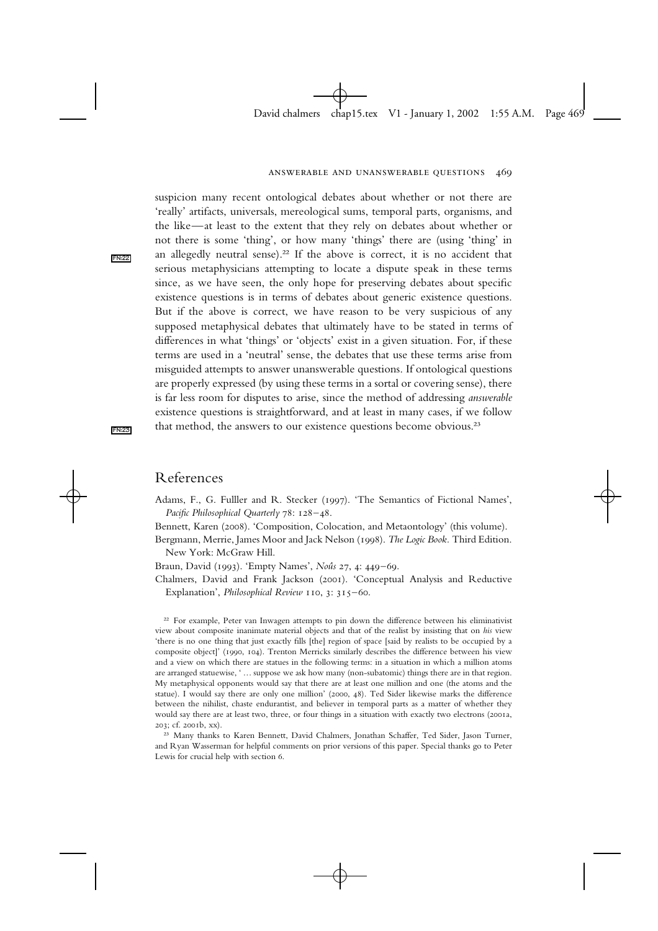$\oplus$ 

#### answerable and unanswerable questions 469

suspicion many recent ontological debates about whether or not there are 'really' artifacts, universals, mereological sums, temporal parts, organisms, and the like—at least to the extent that they rely on debates about whether or not there is some 'thing', or how many 'things' there are (using 'thing' in FN:22 an allegedly neutral sense).<sup>22</sup> If the above is correct, it is no accident that serious metaphysicians attempting to locate a dispute speak in these terms since, as we have seen, the only hope for preserving debates about specific existence questions is in terms of debates about generic existence questions. But if the above is correct, we have reason to be very suspicious of any supposed metaphysical debates that ultimately have to be stated in terms of differences in what 'things' or 'objects' exist in a given situation. For, if these terms are used in a 'neutral' sense, the debates that use these terms arise from misguided attempts to answer unanswerable questions. If ontological questions are properly expressed (by using these terms in a sortal or covering sense), there is far less room for disputes to arise, since the method of addressing *answerable* existence questions is straightforward, and at least in many cases, if we follow that method, the answers to our existence questions become obvious.²³ **FN:23**

 $\bigoplus$ 

## References

- Adams, F., G. Fulller and R. Stecker (1997). 'The Semantics of Fictional Names', *Pacific Philosophical Quarterly* 78: 128–48.
- Bennett, Karen (2008). 'Composition, Colocation, and Metaontology' (this volume).
- Bergmann, Merrie, James Moor and Jack Nelson (1998). *The Logic Book.* Third Edition. New York: McGraw Hill.
- Braun, David (1993). 'Empty Names', *Nousˆ* 27, 4: 449–69.
- Chalmers, David and Frank Jackson (2001). 'Conceptual Analysis and Reductive Explanation', *Philosophical Review* 110, 3: 315–60.

<sup>22</sup> For example, Peter van Inwagen attempts to pin down the difference between his eliminativist view about composite inanimate material objects and that of the realist by insisting that on *his* view 'there is no one thing that just exactly fills [the] region of space [said by realists to be occupied by a composite object]' (1990, 104). Trenton Merricks similarly describes the difference between his view and a view on which there are statues in the following terms: in a situation in which a million atoms are arranged statuewise, ' ... suppose we ask how many (non-subatomic) things there are in that region. My metaphysical opponents would say that there are at least one million and one (the atoms and the statue). I would say there are only one million' (2000, 48). Ted Sider likewise marks the difference between the nihilist, chaste endurantist, and believer in temporal parts as a matter of whether they would say there are at least two, three, or four things in a situation with exactly two electrons (2001a, 203; cf. 2001b, xx).

<sup>23</sup> Many thanks to Karen Bennett, David Chalmers, Jonathan Schaffer, Ted Sider, Jason Turner, and Ryan Wasserman for helpful comments on prior versions of this paper. Special thanks go to Peter Lewis for crucial help with section 6.

 $\bigoplus$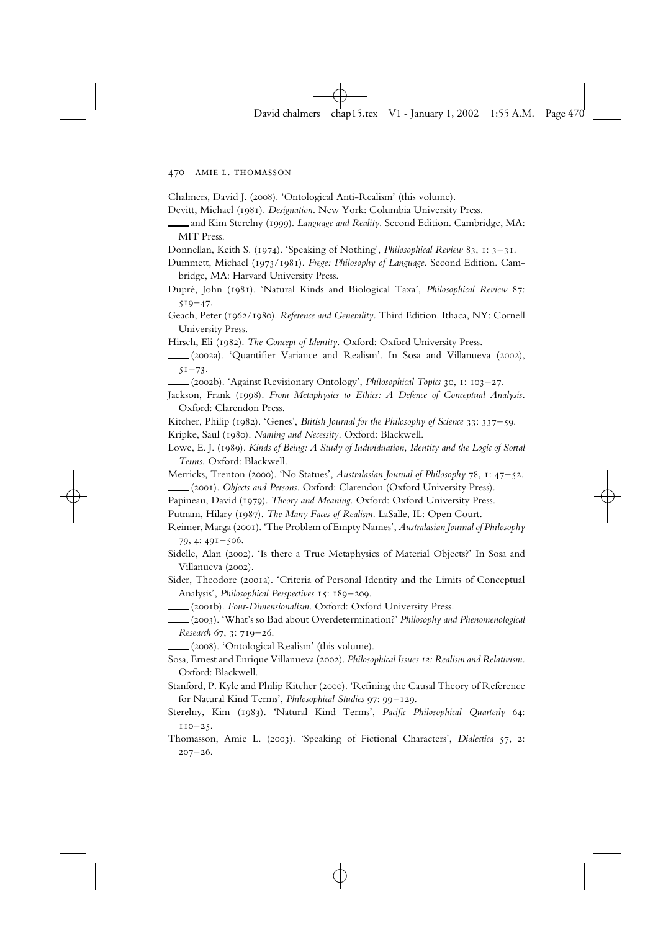#### 470 amie l. thomasson

 $\bigoplus$ 

Chalmers, David J. (2008). 'Ontological Anti-Realism' (this volume).

Devitt, Michael (1981). *Designation*. New York: Columbia University Press.

and Kim Sterelny (1999). *Language and Reality*. Second Edition. Cambridge, MA: MIT Press.

 $\bigoplus$ 

Donnellan, Keith S. (1974). 'Speaking of Nothing', *Philosophical Review* 83, 1: 3–31.

Dummett, Michael (1973/1981). *Frege: Philosophy of Language*. Second Edition. Cambridge, MA: Harvard University Press.

- Dupré, John (1981). 'Natural Kinds and Biological Taxa', *Philosophical Review 87*: 519–47.
- Geach, Peter (1962/1980). *Reference and Generality.* Third Edition. Ithaca, NY: Cornell University Press.

Hirsch, Eli (1982). *The Concept of Identity.* Oxford: Oxford University Press.

(2002a). 'Quantifier Variance and Realism'. In Sosa and Villanueva (2002),  $51 - 73.$ 

(2002b). 'Against Revisionary Ontology', *Philosophical Topics* 30, 1: 103–27.

Jackson, Frank (1998). *From Metaphysics to Ethics: A Defence of Conceptual Analysis*. Oxford: Clarendon Press.

Kitcher, Philip (1982). 'Genes', *British Journal for the Philosophy of Science* 33: 337–59. Kripke, Saul (1980). *Naming and Necessity*. Oxford: Blackwell.

Lowe, E. J. (1989). *Kinds of Being: A Study of Individuation, Identity and the Logic of Sortal Terms.* Oxford: Blackwell.

Merricks, Trenton (2000). 'No Statues', *Australasian Journal of Philosophy* 78, 1: 47–52. (2001). *Objects and Persons*. Oxford: Clarendon (Oxford University Press).

 $\oplus$ 

- Papineau, David (1979). *Theory and Meaning*. Oxford: Oxford University Press.
- Putnam, Hilary (1987). *The Many Faces of Realism*. LaSalle, IL: Open Court.
- Reimer, Marga (2001). 'The Problem of Empty Names', *Australasian Journal of Philosophy* 79, 4: 491–506.
- Sidelle, Alan (2002). 'Is there a True Metaphysics of Material Objects?' In Sosa and Villanueva (2002).

Sider, Theodore (2001a). 'Criteria of Personal Identity and the Limits of Conceptual Analysis', *Philosophical Perspectives* 15: 189–209.

(2001b). *Four-Dimensionalism*. Oxford: Oxford University Press.

(2003). 'What's so Bad about Overdetermination?' *Philosophy and Phenomenological Research* 67, 3: 719–26.

(2008). 'Ontological Realism' (this volume).

- Sosa, Ernest and Enrique Villanueva (2002). *Philosophical Issues 12: Realism and Relativism*. Oxford: Blackwell.
- Stanford, P. Kyle and Philip Kitcher (2000). 'Refining the Causal Theory of Reference for Natural Kind Terms', *Philosophical Studies* 97: 99–129.
- Sterelny, Kim (1983). 'Natural Kind Terms', *Pacific Philosophical Quarterly* 64: 110–25.
- Thomasson, Amie L. (2003). 'Speaking of Fictional Characters', *Dialectica* 57, 2:  $207 - 26$ .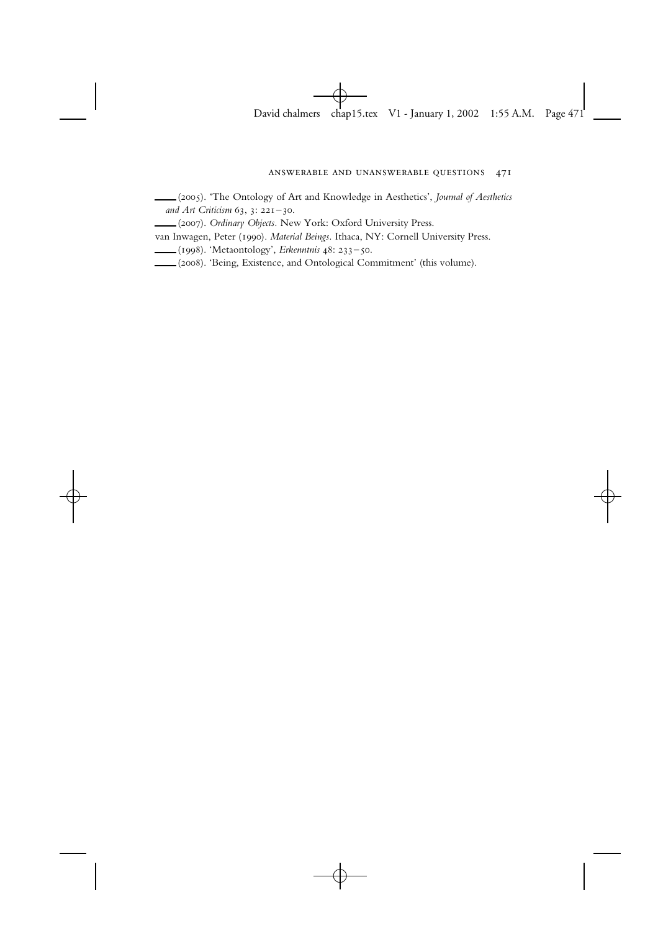$\oplus$ 

#### answerable and unanswerable questions 471

(2005). 'The Ontology of Art and Knowledge in Aesthetics', *Journal of Aesthetics and Art Criticism* 63, 3: 221–30.

 $\bigoplus$ 

(2007). *Ordinary Objects.* New York: Oxford University Press.

van Inwagen, Peter (1990). *Material Beings.* Ithaca, NY: Cornell University Press.

(1998). 'Metaontology', *Erkenntnis* 48: 233–50.

 $\bigoplus$ 

(2008). 'Being, Existence, and Ontological Commitment' (this volume).